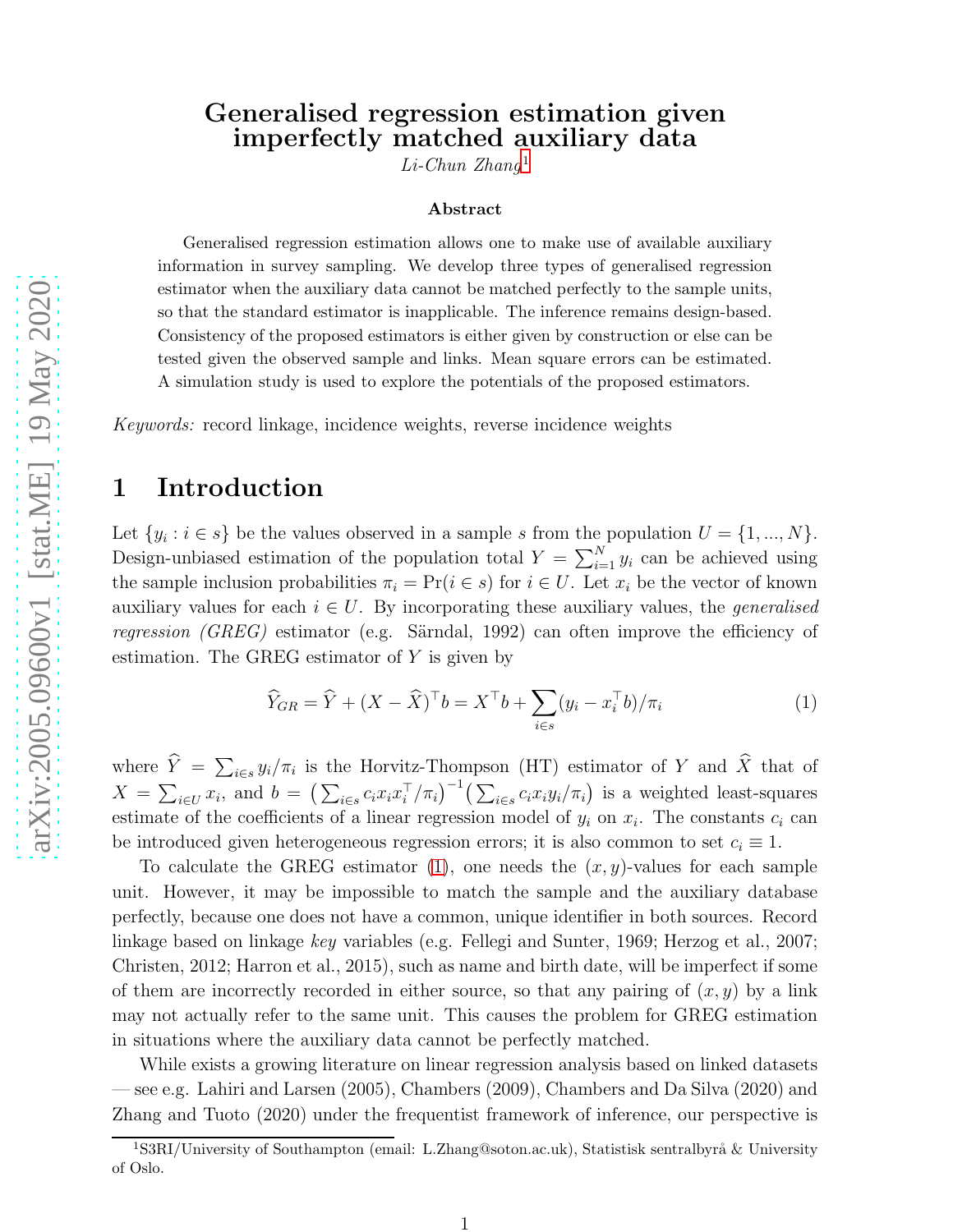# Generalised regression estimation given imperfectly matched auxiliary data

 $Li$ -Chun Zhang<sup>[1](#page-0-0)</sup>

#### Abstract

Generalised regression estimation allows one to make use of available auxiliary information in survey sampling. We develop three types of generalised regression estimator when the auxiliary data cannot be matched perfectly to the sample units, so that the standard estimator is inapplicable. The inference remains design-based. Consistency of the proposed estimators is either given by construction or else can be tested given the observed sample and links. Mean square errors can be estimated. A simulation study is used to explore the potentials of the proposed estimators.

Keywords: record linkage, incidence weights, reverse incidence weights

# 1 Introduction

Let  $\{y_i : i \in s\}$  be the values observed in a sample s from the population  $U = \{1, ..., N\}$ . Design-unbiased estimation of the population total  $Y = \sum_{i=1}^{N} y_i$  can be achieved using the sample inclusion probabilities  $\pi_i = \Pr(i \in s)$  for  $i \in U$ . Let  $x_i$  be the vector of known auxiliary values for each  $i \in U$ . By incorporating these auxiliary values, the *generalised* regression  $(GREG)$  estimator (e.g. Särndal, 1992) can often improve the efficiency of estimation. The GREG estimator of  $Y$  is given by

<span id="page-0-1"></span>
$$
\widehat{Y}_{GR} = \widehat{Y} + (X - \widehat{X})^{\top} b = X^{\top} b + \sum_{i \in s} (y_i - x_i^{\top} b) / \pi_i \tag{1}
$$

where  $\hat{Y} = \sum_{i \in s} y_i / \pi_i$  is the Horvitz-Thompson (HT) estimator of Y and  $\hat{X}$  that of  $X = \sum_{i \in U} x_i$ , and  $b = \left(\sum_{i \in s} c_i x_i x_i^{\top}\right)$  $\int_{i}^{\top}/\pi_{i}$ )<sup>-1</sup>( $\sum_{i \in s} c_{i} x_{i} y_{i}/\pi_{i}$ ) is a weighted least-squares estimate of the coefficients of a linear regression model of  $y_i$  on  $x_i$ . The constants  $c_i$  can be introduced given heterogeneous regression errors; it is also common to set  $c_i \equiv 1$ .

To calculate the GREG estimator [\(1\)](#page-0-1), one needs the  $(x, y)$ -values for each sample unit. However, it may be impossible to match the sample and the auxiliary database perfectly, because one does not have a common, unique identifier in both sources. Record linkage based on linkage key variables (e.g. Fellegi and Sunter, 1969; Herzog et al., 2007; Christen, 2012; Harron et al., 2015), such as name and birth date, will be imperfect if some of them are incorrectly recorded in either source, so that any pairing of  $(x, y)$  by a link may not actually refer to the same unit. This causes the problem for GREG estimation in situations where the auxiliary data cannot be perfectly matched.

While exists a growing literature on linear regression analysis based on linked datasets — see e.g. Lahiri and Larsen (2005), Chambers (2009), Chambers and Da Silva (2020) and Zhang and Tuoto (2020) under the frequentist framework of inference, our perspective is

<span id="page-0-0"></span><sup>&</sup>lt;sup>1</sup>S3RI/University of Southampton (email: L.Zhang@soton.ac.uk), Statistisk sentralbyrå & University of Oslo.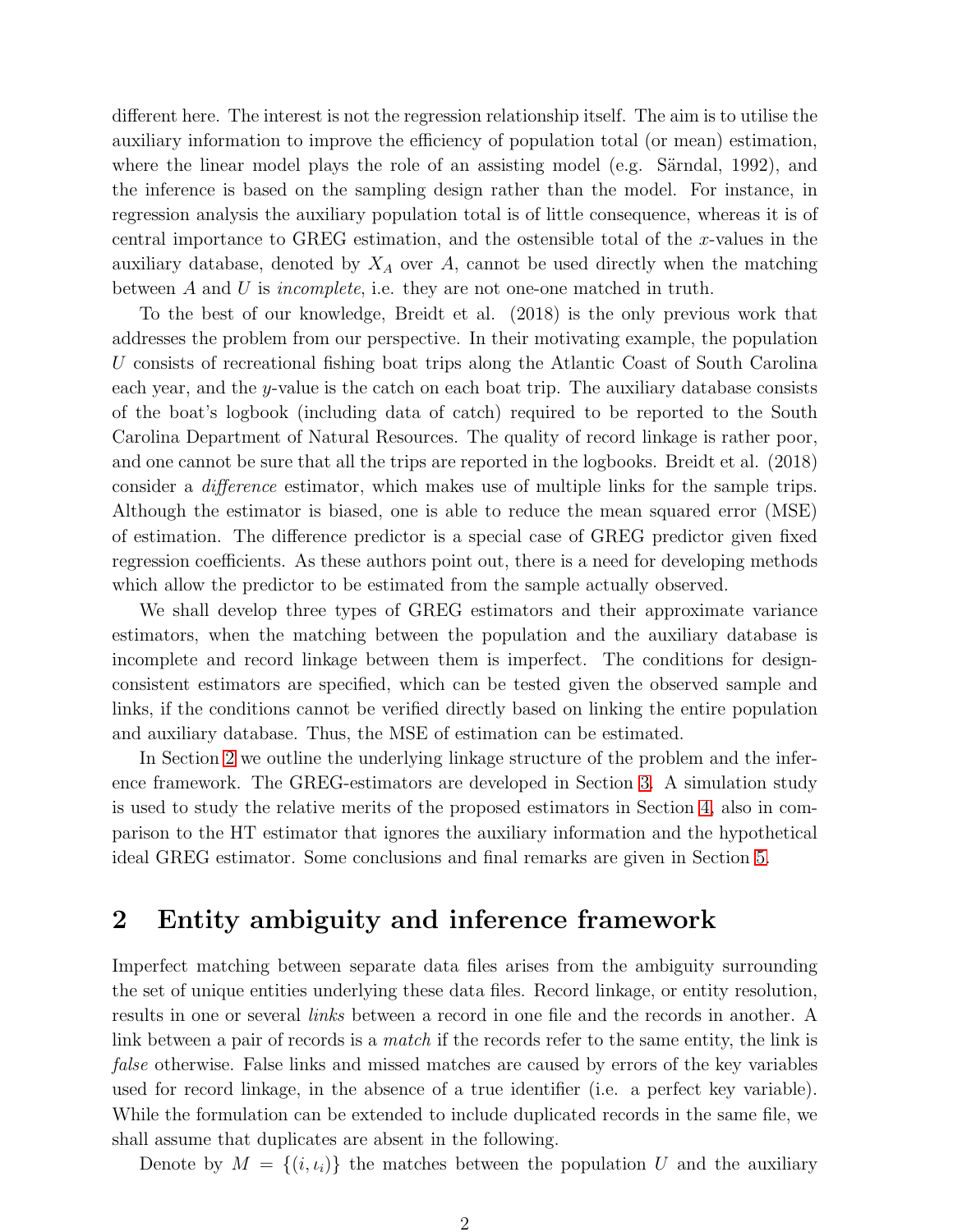different here. The interest is not the regression relationship itself. The aim is to utilise the auxiliary information to improve the efficiency of population total (or mean) estimation, where the linear model plays the role of an assisting model (e.g. Särndal, 1992), and the inference is based on the sampling design rather than the model. For instance, in regression analysis the auxiliary population total is of little consequence, whereas it is of central importance to GREG estimation, and the ostensible total of the x-values in the auxiliary database, denoted by  $X_A$  over A, cannot be used directly when the matching between A and U is incomplete, i.e. they are not one-one matched in truth.

To the best of our knowledge, Breidt et al. (2018) is the only previous work that addresses the problem from our perspective. In their motivating example, the population U consists of recreational fishing boat trips along the Atlantic Coast of South Carolina each year, and the y-value is the catch on each boat trip. The auxiliary database consists of the boat's logbook (including data of catch) required to be reported to the South Carolina Department of Natural Resources. The quality of record linkage is rather poor, and one cannot be sure that all the trips are reported in the logbooks. Breidt et al. (2018) consider a difference estimator, which makes use of multiple links for the sample trips. Although the estimator is biased, one is able to reduce the mean squared error (MSE) of estimation. The difference predictor is a special case of GREG predictor given fixed regression coefficients. As these authors point out, there is a need for developing methods which allow the predictor to be estimated from the sample actually observed.

We shall develop three types of GREG estimators and their approximate variance estimators, when the matching between the population and the auxiliary database is incomplete and record linkage between them is imperfect. The conditions for designconsistent estimators are specified, which can be tested given the observed sample and links, if the conditions cannot be verified directly based on linking the entire population and auxiliary database. Thus, the MSE of estimation can be estimated.

In Section [2](#page-1-0) we outline the underlying linkage structure of the problem and the inference framework. The GREG-estimators are developed in Section [3.](#page-3-0) A simulation study is used to study the relative merits of the proposed estimators in Section [4,](#page-8-0) also in comparison to the HT estimator that ignores the auxiliary information and the hypothetical ideal GREG estimator. Some conclusions and final remarks are given in Section [5.](#page-14-0)

# <span id="page-1-0"></span>2 Entity ambiguity and inference framework

Imperfect matching between separate data files arises from the ambiguity surrounding the set of unique entities underlying these data files. Record linkage, or entity resolution, results in one or several links between a record in one file and the records in another. A link between a pair of records is a *match* if the records refer to the same entity, the link is false otherwise. False links and missed matches are caused by errors of the key variables used for record linkage, in the absence of a true identifier (i.e. a perfect key variable). While the formulation can be extended to include duplicated records in the same file, we shall assume that duplicates are absent in the following.

Denote by  $M = \{(i, i_i)\}\$ the matches between the population U and the auxiliary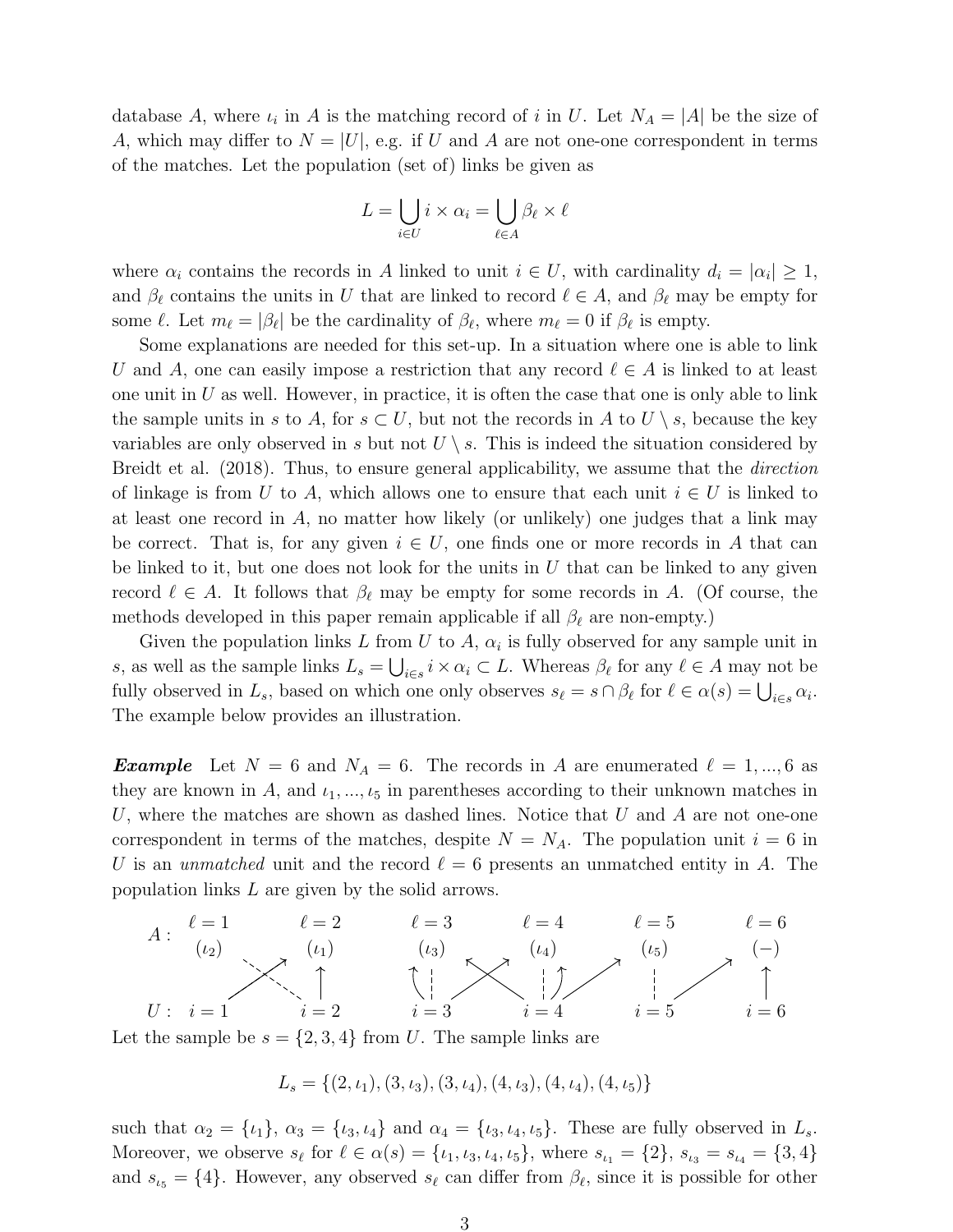database A, where  $\iota_i$  in A is the matching record of i in U. Let  $N_A = |A|$  be the size of A, which may differ to  $N = |U|$ , e.g. if U and A are not one-one correspondent in terms of the matches. Let the population (set of) links be given as

$$
L = \bigcup_{i \in U} i \times \alpha_i = \bigcup_{\ell \in A} \beta_\ell \times \ell
$$

where  $\alpha_i$  contains the records in A linked to unit  $i \in U$ , with cardinality  $d_i = |\alpha_i| \geq 1$ , and  $\beta_{\ell}$  contains the units in U that are linked to record  $\ell \in A$ , and  $\beta_{\ell}$  may be empty for some  $\ell$ . Let  $m_{\ell} = |\beta_{\ell}|$  be the cardinality of  $\beta_{\ell}$ , where  $m_{\ell} = 0$  if  $\beta_{\ell}$  is empty.

Some explanations are needed for this set-up. In a situation where one is able to link U and A, one can easily impose a restriction that any record  $\ell \in A$  is linked to at least one unit in  $U$  as well. However, in practice, it is often the case that one is only able to link the sample units in s to A, for  $s \subset U$ , but not the records in A to  $U \setminus s$ , because the key variables are only observed in s but not  $U \setminus s$ . This is indeed the situation considered by Breidt et al. (2018). Thus, to ensure general applicability, we assume that the direction of linkage is from U to A, which allows one to ensure that each unit  $i \in U$  is linked to at least one record in  $A$ , no matter how likely (or unlikely) one judges that a link may be correct. That is, for any given  $i \in U$ , one finds one or more records in A that can be linked to it, but one does not look for the units in  $U$  that can be linked to any given record  $\ell \in A$ . It follows that  $\beta_{\ell}$  may be empty for some records in A. (Of course, the methods developed in this paper remain applicable if all  $\beta_{\ell}$  are non-empty.)

Given the population links L from U to A,  $\alpha_i$  is fully observed for any sample unit in s, as well as the sample links  $L_s = \bigcup_{i \in s} i \times \alpha_i \subset L$ . Whereas  $\beta_\ell$  for any  $\ell \in A$  may not be fully observed in  $L_s$ , based on which one only observes  $s_\ell = s \cap \beta_\ell$  for  $\ell \in \alpha(s) = \bigcup_{i \in s} \alpha_i$ . The example below provides an illustration.

**Example** Let  $N = 6$  and  $N_A = 6$ . The records in A are enumerated  $\ell = 1, ..., 6$  as they are known in A, and  $\iota_1, \ldots, \iota_5$  in parentheses according to their unknown matches in U, where the matches are shown as dashed lines. Notice that U and A are not one-one correspondent in terms of the matches, despite  $N = N<sub>A</sub>$ . The population unit  $i = 6$  in U is an unmatched unit and the record  $\ell = 6$  presents an unmatched entity in A. The population links L are given by the solid arrows.



Let the sample be  $s = \{2, 3, 4\}$  from U. The sample links are

$$
L_s = \{(2, \iota_1), (3, \iota_3), (3, \iota_4), (4, \iota_3), (4, \iota_4), (4, \iota_5)\}
$$

such that  $\alpha_2 = {\iota_1}, \alpha_3 = {\iota_3, \iota_4}$  and  $\alpha_4 = {\iota_3, \iota_4, \iota_5}$ . These are fully observed in  $L_s$ . Moreover, we observe  $s_{\ell}$  for  $\ell \in \alpha(s) = \{\iota_1, \iota_3, \iota_4, \iota_5\}$ , where  $s_{\iota_1} = \{2\}$ ,  $s_{\iota_3} = s_{\iota_4} = \{3, 4\}$ and  $s_{\iota5} = \{4\}$ . However, any observed  $s_{\ell}$  can differ from  $\beta_{\ell}$ , since it is possible for other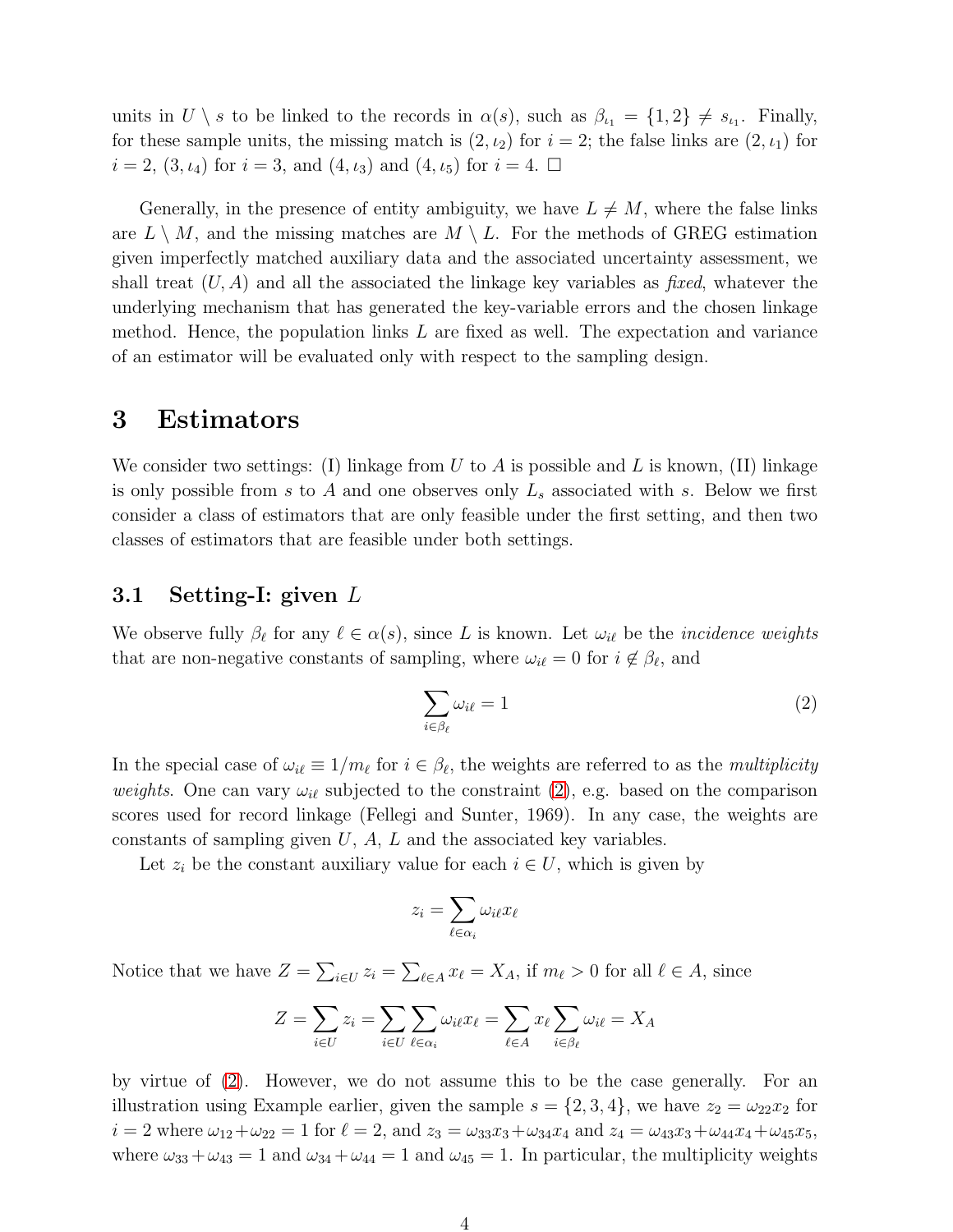units in  $U \setminus s$  to be linked to the records in  $\alpha(s)$ , such as  $\beta_{i_1} = \{1,2\} \neq s_{i_1}$ . Finally, for these sample units, the missing match is  $(2, \iota_2)$  for  $i = 2$ ; the false links are  $(2, \iota_1)$  for  $i = 2, (3, \iota_4)$  for  $i = 3$ , and  $(4, \iota_3)$  and  $(4, \iota_5)$  for  $i = 4$ .

Generally, in the presence of entity ambiguity, we have  $L \neq M$ , where the false links are  $L \setminus M$ , and the missing matches are  $M \setminus L$ . For the methods of GREG estimation given imperfectly matched auxiliary data and the associated uncertainty assessment, we shall treat  $(U, A)$  and all the associated the linkage key variables as *fixed*, whatever the underlying mechanism that has generated the key-variable errors and the chosen linkage method. Hence, the population links L are fixed as well. The expectation and variance of an estimator will be evaluated only with respect to the sampling design.

## <span id="page-3-0"></span>3 Estimators

We consider two settings: (I) linkage from U to A is possible and L is known, (II) linkage is only possible from s to A and one observes only  $L_s$  associated with s. Below we first consider a class of estimators that are only feasible under the first setting, and then two classes of estimators that are feasible under both settings.

### 3.1 Setting-I: given L

We observe fully  $\beta_{\ell}$  for any  $\ell \in \alpha(s)$ , since L is known. Let  $\omega_{i\ell}$  be the *incidence weights* that are non-negative constants of sampling, where  $\omega_{i\ell} = 0$  for  $i \notin \beta_{\ell}$ , and

<span id="page-3-1"></span>
$$
\sum_{i \in \beta_{\ell}} \omega_{i\ell} = 1 \tag{2}
$$

In the special case of  $\omega_{i\ell} \equiv 1/m_{\ell}$  for  $i \in \beta_{\ell}$ , the weights are referred to as the *multiplicity* weights. One can vary  $\omega_{i\ell}$  subjected to the constraint [\(2\)](#page-3-1), e.g. based on the comparison scores used for record linkage (Fellegi and Sunter, 1969). In any case, the weights are constants of sampling given  $U, A, L$  and the associated key variables.

Let  $z_i$  be the constant auxiliary value for each  $i \in U$ , which is given by

$$
z_i = \sum_{\ell \in \alpha_i} \omega_{i\ell} x_\ell
$$

Notice that we have  $Z = \sum_{i \in U} z_i = \sum_{\ell \in A} x_{\ell} = X_A$ , if  $m_{\ell} > 0$  for all  $\ell \in A$ , since

$$
Z = \sum_{i \in U} z_i = \sum_{i \in U} \sum_{\ell \in \alpha_i} \omega_{i\ell} x_{\ell} = \sum_{\ell \in A} x_{\ell} \sum_{i \in \beta_{\ell}} \omega_{i\ell} = X_A
$$

by virtue of [\(2\)](#page-3-1). However, we do not assume this to be the case generally. For an illustration using Example earlier, given the sample  $s = \{2, 3, 4\}$ , we have  $z_2 = \omega_{22} x_2$  for  $i = 2$  where  $\omega_{12} + \omega_{22} = 1$  for  $\ell = 2$ , and  $z_3 = \omega_{33}x_3 + \omega_{34}x_4$  and  $z_4 = \omega_{43}x_3 + \omega_{44}x_4 + \omega_{45}x_5$ , where  $\omega_{33} + \omega_{43} = 1$  and  $\omega_{34} + \omega_{44} = 1$  and  $\omega_{45} = 1$ . In particular, the multiplicity weights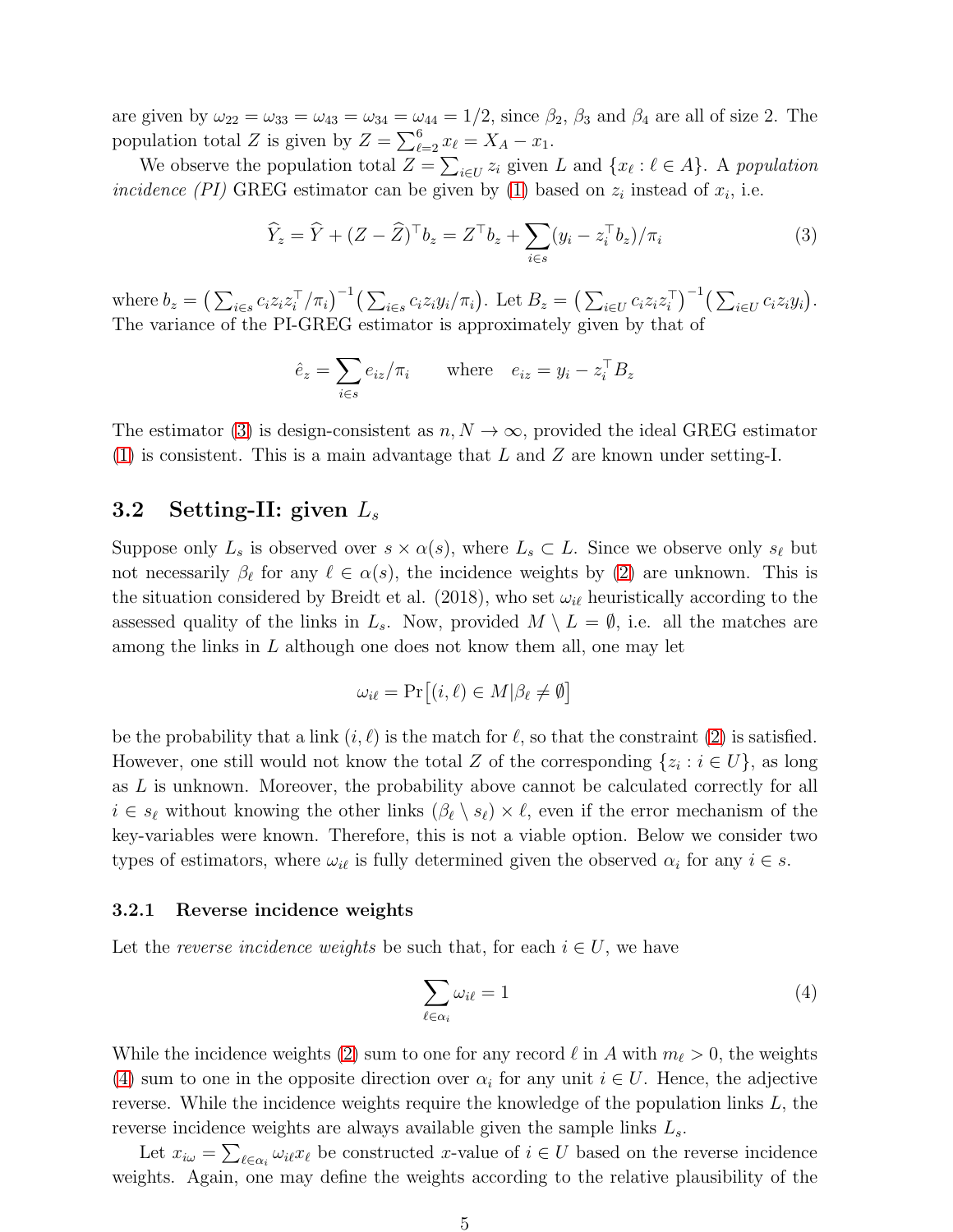are given by  $\omega_{22} = \omega_{33} = \omega_{43} = \omega_{34} = \omega_{44} = 1/2$ , since  $\beta_2$ ,  $\beta_3$  and  $\beta_4$  are all of size 2. The population total Z is given by  $Z = \sum_{\ell=2}^{6} x_{\ell} = X_A - x_1$ .

We observe the population total  $Z = \sum_{i \in U} z_i$  given L and  $\{x_\ell : \ell \in A\}$ . A population incidence (PI) GREG estimator can be given by [\(1\)](#page-0-1) based on  $z_i$  instead of  $x_i$ , i.e.

<span id="page-4-0"></span>
$$
\widehat{Y}_z = \widehat{Y} + (Z - \widehat{Z})^\top b_z = Z^\top b_z + \sum_{i \in s} (y_i - z_i^\top b_z) / \pi_i \tag{3}
$$

where  $b_z = \left(\sum_{i \in s} c_i z_i z_i^\top\right)$  $\left(\sum_{i\in\mathcal{S}}c_iz_iy_i/\pi_i\right)$ . Let  $B_z=\left(\sum_{i\in\mathcal{U}}c_iz_iz_i^\top\right)$  $\binom{1}{i}^{-1} \left( \sum_{i \in U} c_i z_i y_i \right).$ The variance of the PI-GREG estimator is approximately given by that of

$$
\hat{e}_z = \sum_{i \in s} e_{iz} / \pi_i \quad \text{where} \quad e_{iz} = y_i - z_i^\top B_z
$$

The estimator [\(3\)](#page-4-0) is design-consistent as  $n, N \to \infty$ , provided the ideal GREG estimator  $(1)$  is consistent. This is a main advantage that L and Z are known under setting-I.

## 3.2 Setting-II: given  $L_s$

Suppose only  $L_s$  is observed over  $s \times \alpha(s)$ , where  $L_s \subset L$ . Since we observe only  $s_{\ell}$  but not necessarily  $\beta_{\ell}$  for any  $\ell \in \alpha(s)$ , the incidence weights by [\(2\)](#page-3-1) are unknown. This is the situation considered by Breidt et al. (2018), who set  $\omega_{i\ell}$  heuristically according to the assessed quality of the links in  $L_s$ . Now, provided  $M \setminus L = \emptyset$ , i.e. all the matches are among the links in  $L$  although one does not know them all, one may let

$$
\omega_{i\ell} = \Pr[(i,\ell) \in M | \beta_{\ell} \neq \emptyset]
$$

be the probability that a link  $(i, \ell)$  is the match for  $\ell$ , so that the constraint [\(2\)](#page-3-1) is satisfied. However, one still would not know the total Z of the corresponding  $\{z_i : i \in U\}$ , as long as L is unknown. Moreover, the probability above cannot be calculated correctly for all  $i \in s_{\ell}$  without knowing the other links  $(\beta_{\ell} \setminus s_{\ell}) \times \ell$ , even if the error mechanism of the key-variables were known. Therefore, this is not a viable option. Below we consider two types of estimators, where  $\omega_{i\ell}$  is fully determined given the observed  $\alpha_i$  for any  $i \in s$ .

#### 3.2.1 Reverse incidence weights

Let the reverse incidence weights be such that, for each  $i \in U$ , we have

<span id="page-4-1"></span>
$$
\sum_{\ell \in \alpha_i} \omega_{i\ell} = 1 \tag{4}
$$

While the incidence weights [\(2\)](#page-3-1) sum to one for any record  $\ell$  in A with  $m_{\ell} > 0$ , the weights [\(4\)](#page-4-1) sum to one in the opposite direction over  $\alpha_i$  for any unit  $i \in U$ . Hence, the adjective reverse. While the incidence weights require the knowledge of the population links  $L$ , the reverse incidence weights are always available given the sample links  $L_s$ .

Let  $x_{i\omega} = \sum_{\ell \in \alpha_i} \omega_{i\ell} x_{\ell}$  be constructed x-value of  $i \in U$  based on the reverse incidence weights. Again, one may define the weights according to the relative plausibility of the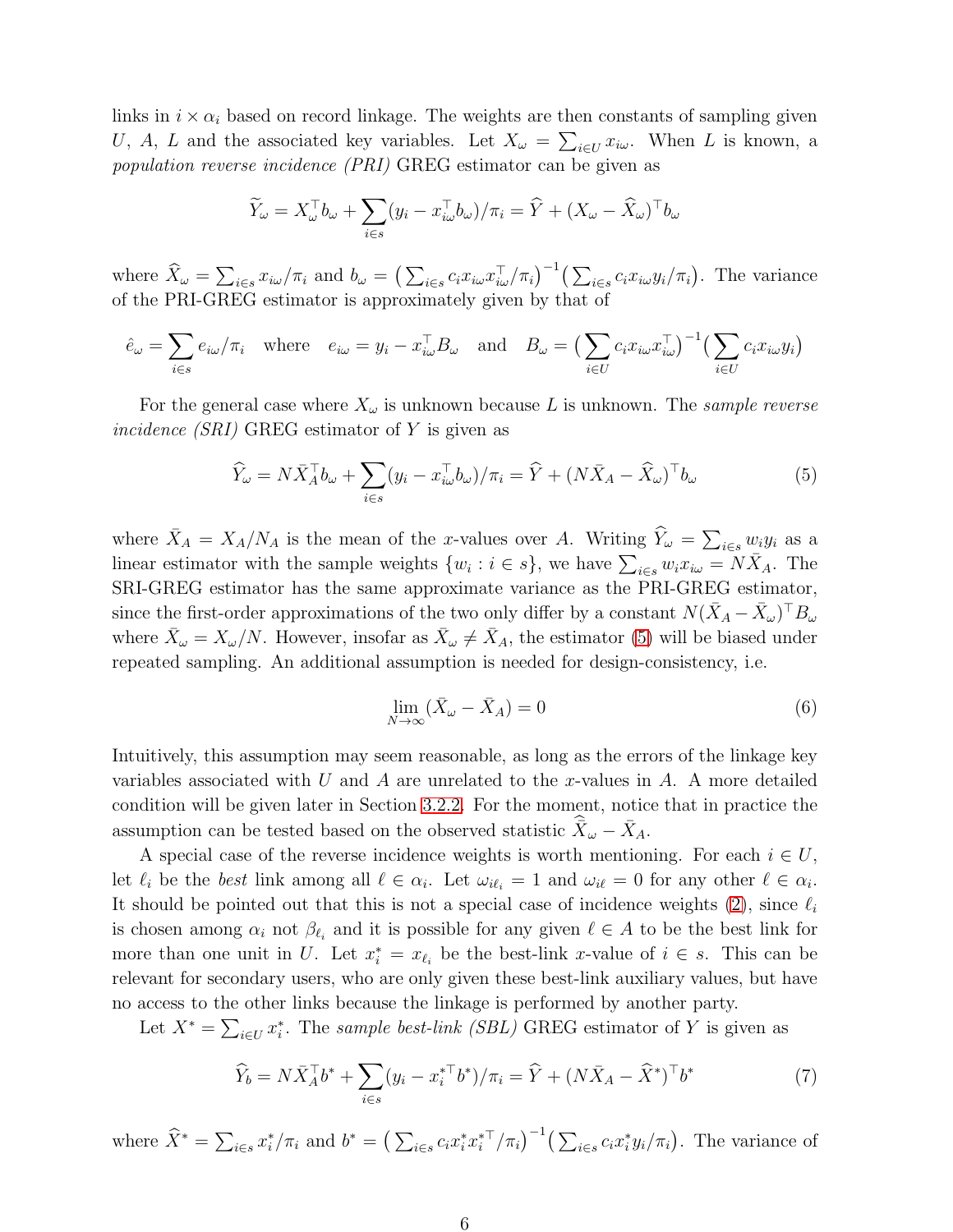links in  $i \times \alpha_i$  based on record linkage. The weights are then constants of sampling given U, A, L and the associated key variables. Let  $X_{\omega} = \sum_{i \in U} x_{i\omega}$ . When L is known, a population reverse incidence (PRI) GREG estimator can be given as

$$
\widetilde{Y}_{\omega} = X_{\omega}^{\top} b_{\omega} + \sum_{i \in s} (y_i - x_{i\omega}^{\top} b_{\omega}) / \pi_i = \widehat{Y} + (X_{\omega} - \widehat{X}_{\omega})^{\top} b_{\omega}
$$

where  $\widehat{X}_{\omega} = \sum_{i \in s} x_{i\omega}/\pi_i$  and  $b_{\omega} = \left(\sum_{i \in s} c_i x_{i\omega} x_{i\omega}^{\top}/\pi_i\right)^{-1} \left(\sum_{i \in s} c_i x_{i\omega} y_i/\pi_i\right)$ . The variance of the PRI-GREG estimator is approximately given by that of

$$
\hat{e}_{\omega} = \sum_{i \in s} e_{i\omega}/\pi_i \quad \text{where} \quad e_{i\omega} = y_i - x_{i\omega}^\top B_{\omega} \quad \text{and} \quad B_{\omega} = \left(\sum_{i \in U} c_i x_{i\omega} x_{i\omega}^\top\right)^{-1} \left(\sum_{i \in U} c_i x_{i\omega} y_i\right)
$$

For the general case where  $X_{\omega}$  is unknown because L is unknown. The sample reverse incidence (SRI) GREG estimator of Y is given as

<span id="page-5-0"></span>
$$
\widehat{Y}_{\omega} = N\bar{X}_{A}^{\top}b_{\omega} + \sum_{i \in s} (y_{i} - x_{i\omega}^{\top}b_{\omega})/\pi_{i} = \widehat{Y} + (N\bar{X}_{A} - \widehat{X}_{\omega})^{\top}b_{\omega}
$$
\n<sup>(5)</sup>

where  $\bar{X}_A = X_A/N_A$  is the mean of the x-values over A. Writing  $\hat{Y}_\omega = \sum_{i \in s} w_i y_i$  as a linear estimator with the sample weights  $\{w_i : i \in s\}$ , we have  $\sum_{i \in s} w_i x_{i\omega} = N \bar{X}_A$ . The SRI-GREG estimator has the same approximate variance as the PRI-GREG estimator, since the first-order approximations of the two only differ by a constant  $N(\bar{X}_A - \bar{X}_\omega)^\top B_\omega$ where  $\bar{X}_{\omega} = X_{\omega}/N$ . However, insofar as  $\bar{X}_{\omega} \neq \bar{X}_A$ , the estimator [\(5\)](#page-5-0) will be biased under repeated sampling. An additional assumption is needed for design-consistency, i.e.

<span id="page-5-2"></span>
$$
\lim_{N \to \infty} (\bar{X}_{\omega} - \bar{X}_A) = 0 \tag{6}
$$

Intuitively, this assumption may seem reasonable, as long as the errors of the linkage key variables associated with U and A are unrelated to the x-values in A. A more detailed condition will be given later in Section [3.2.2.](#page-6-0) For the moment, notice that in practice the assumption can be tested based on the observed statistic  $\hat{\vec{X}}_{\omega} - \bar{X}_A$ .

A special case of the reverse incidence weights is worth mentioning. For each  $i \in U$ , let  $\ell_i$  be the best link among all  $\ell \in \alpha_i$ . Let  $\omega_{i\ell_i} = 1$  and  $\omega_{i\ell} = 0$  for any other  $\ell \in \alpha_i$ . It should be pointed out that this is not a special case of incidence weights [\(2\)](#page-3-1), since  $\ell_i$ is chosen among  $\alpha_i$  not  $\beta_{\ell_i}$  and it is possible for any given  $\ell \in A$  to be the best link for more than one unit in U. Let  $x_i^* = x_{\ell_i}$  be the best-link x-value of  $i \in s$ . This can be relevant for secondary users, who are only given these best-link auxiliary values, but have no access to the other links because the linkage is performed by another party.

Let  $X^* = \sum_{i \in U} x_i^*$  $i$ . The sample best-link (SBL) GREG estimator of Y is given as

<span id="page-5-1"></span>
$$
\widehat{Y}_b = N\bar{X}_A^\top b^* + \sum_{i \in s} (y_i - x_i^{*\top} b^*) / \pi_i = \widehat{Y} + (N\bar{X}_A - \widehat{X}^*)^\top b^* \tag{7}
$$

where  $\widehat{X}^* = \sum_{i \in s} x_i^*$  $i/\pi_i$  and  $b^* = (\sum_{i \in s} c_i x_i^* x_i^{*\top})$  $\int_i^{*\top}/\pi_i^{*} \Big( \sum_{i \in s} c_i x_i^*$  $i<sub>i</sub>y<sub>i</sub>/\pi<sub>i</sub>$ . The variance of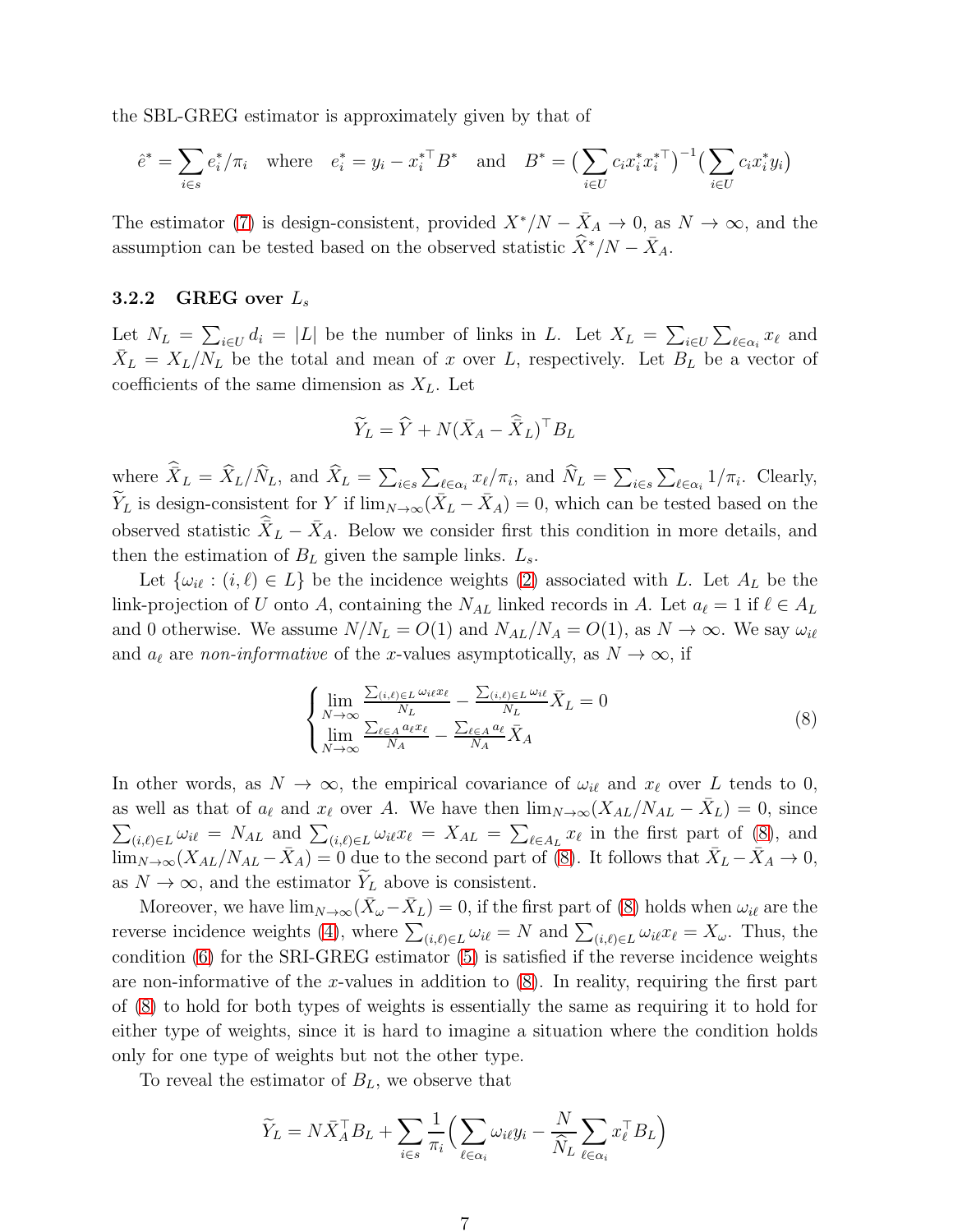the SBL-GREG estimator is approximately given by that of

$$
\hat{e}^* = \sum_{i \in s} e_i^* / \pi_i
$$
 where  $e_i^* = y_i - x_i^{*T} B^*$  and  $B^* = \left(\sum_{i \in U} c_i x_i^* x_i^{*T}\right)^{-1} \left(\sum_{i \in U} c_i x_i^* y_i\right)$ 

The estimator [\(7\)](#page-5-1) is design-consistent, provided  $X^*/N - \bar{X}_A \to 0$ , as  $N \to \infty$ , and the assumption can be tested based on the observed statistic  $\widehat{X}^*/N - \overline{X}_A$ .

#### <span id="page-6-0"></span>3.2.2 GREG over  $L_s$

Let  $N_L = \sum_{i \in U} d_i = |L|$  be the number of links in L. Let  $X_L = \sum_{i \in U} \sum_{\ell \in \alpha_i} x_{\ell}$  and  $\bar{X}_L = X_L/N_L$  be the total and mean of x over L, respectively. Let  $B_L$  be a vector of coefficients of the same dimension as  $X_L$ . Let

$$
\widetilde{Y}_L = \widehat{Y} + N(\bar{X}_A - \widehat{\bar{X}}_L)^\top B_L
$$

where  $\hat{X}_L = \hat{X}_L/\hat{N}_L$ , and  $\hat{X}_L = \sum_{i \in s} \sum_{\ell \in \alpha_i} x_{\ell}/\pi_i$ , and  $\hat{N}_L = \sum_{i \in s} \sum_{\ell \in \alpha_i} 1/\pi_i$ . Clearly,  $\widetilde{Y}_L$  is design-consistent for Y if  $\lim_{N\to\infty} (\bar{X}_L - \bar{X}_A) = 0$ , which can be tested based on the observed statistic  $\hat{\vec{X}}_L - \bar{X}_A$ . Below we consider first this condition in more details, and then the estimation of  $B_L$  given the sample links.  $L_s$ .

Let  $\{\omega_{i\ell} : (i,\ell) \in L\}$  be the incidence weights [\(2\)](#page-3-1) associated with L. Let  $A_L$  be the link-projection of U onto A, containing the  $N_{AL}$  linked records in A. Let  $a_{\ell} = 1$  if  $\ell \in A_L$ and 0 otherwise. We assume  $N/N_L = O(1)$  and  $N_{AL}/N_A = O(1)$ , as  $N \to \infty$ . We say  $\omega_{i\ell}$ and  $a_{\ell}$  are non-informative of the x-values asymptotically, as  $N \to \infty$ , if

<span id="page-6-1"></span>
$$
\begin{cases}\n\lim_{N \to \infty} \frac{\sum_{(i,\ell) \in L} \omega_i x_{\ell}}{N_L} - \frac{\sum_{(i,\ell) \in L} \omega_{i\ell}}{N_L} \bar{X}_L = 0 \\
\lim_{N \to \infty} \frac{\sum_{\ell \in A} a_{\ell} x_{\ell}}{N_A} - \frac{\sum_{\ell \in A} a_{\ell}}{N_A} \bar{X}_A\n\end{cases}
$$
\n(8)

In other words, as  $N \to \infty$ , the empirical covariance of  $\omega_{i\ell}$  and  $x_{\ell}$  over L tends to 0, as well as that of  $a_{\ell}$  and  $x_{\ell}$  over A. We have then  $\lim_{N\to\infty}(X_{AL}/N_{AL} - \bar{X}_{L}) = 0$ , since  $\sum_{(i,\ell)\in L} \omega_{i\ell} = N_{AL}$  and  $\sum_{(i,\ell)\in L} \omega_{i\ell} x_{\ell} = X_{AL} = \sum_{\ell \in A_L} x_{\ell}$  in the first part of [\(8\)](#page-6-1), and  $\lim_{N\to\infty}(X_{AL}/N_{AL}-\bar{X}_A)=0$  due to the second part of [\(8\)](#page-6-1). It follows that  $\bar{X}_L-\bar{X}_A\to 0$ , as  $N \to \infty$ , and the estimator  $\widetilde{Y}_L$  above is consistent.

Moreover, we have  $\lim_{N\to\infty} (\bar{X}_{\omega} - \bar{X}_L) = 0$ , if the first part of [\(8\)](#page-6-1) holds when  $\omega_{i\ell}$  are the reverse incidence weights [\(4\)](#page-4-1), where  $\sum_{(i,\ell)\in L} \omega_{i\ell} = N$  and  $\sum_{(i,\ell)\in L} \omega_{i\ell} x_{\ell} = X_{\omega}$ . Thus, the condition [\(6\)](#page-5-2) for the SRI-GREG estimator [\(5\)](#page-5-0) is satisfied if the reverse incidence weights are non-informative of the x-values in addition to  $(8)$ . In reality, requiring the first part of [\(8\)](#page-6-1) to hold for both types of weights is essentially the same as requiring it to hold for either type of weights, since it is hard to imagine a situation where the condition holds only for one type of weights but not the other type.

To reveal the estimator of  $B_L$ , we observe that

$$
\widetilde{Y}_L = N \bar{X}_A^\top B_L + \sum_{i \in s} \frac{1}{\pi_i} \Big( \sum_{\ell \in \alpha_i} \omega_{i\ell} y_i - \frac{N}{\widehat{N}_L} \sum_{\ell \in \alpha_i} x_\ell^\top B_L \Big)
$$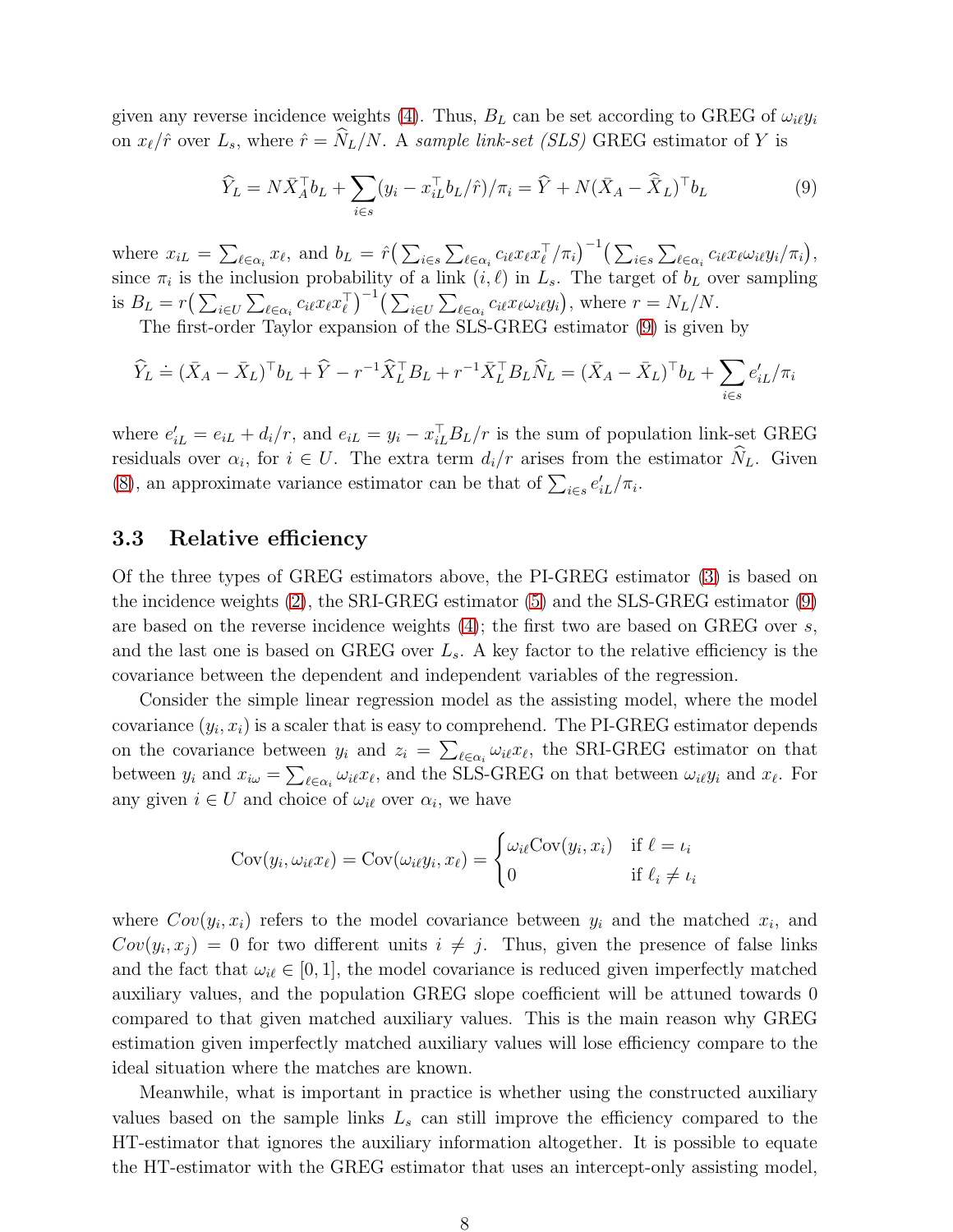given any reverse incidence weights [\(4\)](#page-4-1). Thus,  $B_L$  can be set according to GREG of  $\omega_i \psi_i$ on  $x_{\ell}/\hat{r}$  over  $L_s$ , where  $\hat{r} = \hat{N}_L/N$ . A sample link-set (SLS) GREG estimator of Y is

<span id="page-7-0"></span>
$$
\widehat{Y}_L = N\bar{X}_A^\top b_L + \sum_{i \in s} (y_i - x_{iL}^\top b_L / \widehat{r}) / \pi_i = \widehat{Y} + N(\bar{X}_A - \widehat{\bar{X}}_L)^\top b_L \tag{9}
$$

where  $x_{iL} = \sum_{\ell \in \alpha_i} x_{\ell}$ , and  $b_L = \hat{r} \left( \sum_{i \in s} \sum_{\ell \in \alpha_i} c_{i\ell} x_{\ell} x_{\ell}^{\top} \right)$  $\int_{\ell}^{\top} / \pi_i \big)^{-1} \Big( \sum_{i \in s} \sum_{\ell \in \alpha_i} c_{i\ell} x_{\ell} \omega_{i\ell} y_i / \pi_i \Big),$ since  $\pi_i$  is the inclusion probability of a link  $(i, \ell)$  in  $L_s$ . The target of  $b_L$  over sampling is  $B_L = r \left( \sum_{i \in U} \sum_{\ell \in \alpha_i} c_{i\ell} x_{\ell} x_{\ell}^{\top} \right)$  $\int_{\ell}^{\top} \int_{-\ell}^{-1} \left( \sum_{i \in U} \sum_{\ell \in \alpha_i} c_{i\ell} x_{\ell} \omega_{i\ell} y_i \right)$ , where  $r = N_L/N$ .

The first-order Taylor expansion of the SLS-GREG estimator [\(9\)](#page-7-0) is given by

$$
\widehat{Y}_L \doteq (\bar{X}_A - \bar{X}_L)^{\top} b_L + \widehat{Y} - r^{-1} \widehat{X}_L^{\top} B_L + r^{-1} \bar{X}_L^{\top} B_L \widehat{N}_L = (\bar{X}_A - \bar{X}_L)^{\top} b_L + \sum_{i \in s} e_{iL}' / \pi_i
$$

where  $e'_{iL} = e_{iL} + d_i/r$ , and  $e_{iL} = y_i - x_{iL}^\top B_L/r$  is the sum of population link-set GREG residuals over  $\alpha_i$ , for  $i \in U$ . The extra term  $d_i/r$  arises from the estimator  $N_L$ . Given [\(8\)](#page-6-1), an approximate variance estimator can be that of  $\sum_{i \in s} e'_{iL}/\pi_i$ .

### 3.3 Relative efficiency

Of the three types of GREG estimators above, the PI-GREG estimator [\(3\)](#page-4-0) is based on the incidence weights [\(2\)](#page-3-1), the SRI-GREG estimator [\(5\)](#page-5-0) and the SLS-GREG estimator [\(9\)](#page-7-0) are based on the reverse incidence weights  $(4)$ ; the first two are based on GREG over s, and the last one is based on GREG over  $L_s$ . A key factor to the relative efficiency is the covariance between the dependent and independent variables of the regression.

Consider the simple linear regression model as the assisting model, where the model covariance  $(y_i, x_i)$  is a scaler that is easy to comprehend. The PI-GREG estimator depends on the covariance between  $y_i$  and  $z_i = \sum_{\ell \in \alpha_i} \omega_{i\ell} x_{\ell}$ , the SRI-GREG estimator on that between  $y_i$  and  $x_{i\omega} = \sum_{\ell \in \alpha_i} \omega_{i\ell} x_{\ell}$ , and the SLS-GREG on that between  $\omega_{i\ell} y_i$  and  $x_{\ell}$ . For any given  $i \in U$  and choice of  $\omega_{i\ell}$  over  $\alpha_i$ , we have

$$
Cov(y_i, \omega_{i\ell} x_{\ell}) = Cov(\omega_{i\ell} y_i, x_{\ell}) = \begin{cases} \omega_{i\ell} Cov(y_i, x_i) & \text{if } \ell = \iota_i \\ 0 & \text{if } \ell_i \neq \iota_i \end{cases}
$$

where  $Cov(y_i, x_i)$  refers to the model covariance between  $y_i$  and the matched  $x_i$ , and  $Cov(y_i, x_j) = 0$  for two different units  $i \neq j$ . Thus, given the presence of false links and the fact that  $\omega_{i\ell} \in [0,1]$ , the model covariance is reduced given imperfectly matched auxiliary values, and the population GREG slope coefficient will be attuned towards 0 compared to that given matched auxiliary values. This is the main reason why GREG estimation given imperfectly matched auxiliary values will lose efficiency compare to the ideal situation where the matches are known.

Meanwhile, what is important in practice is whether using the constructed auxiliary values based on the sample links  $L<sub>s</sub>$  can still improve the efficiency compared to the HT-estimator that ignores the auxiliary information altogether. It is possible to equate the HT-estimator with the GREG estimator that uses an intercept-only assisting model,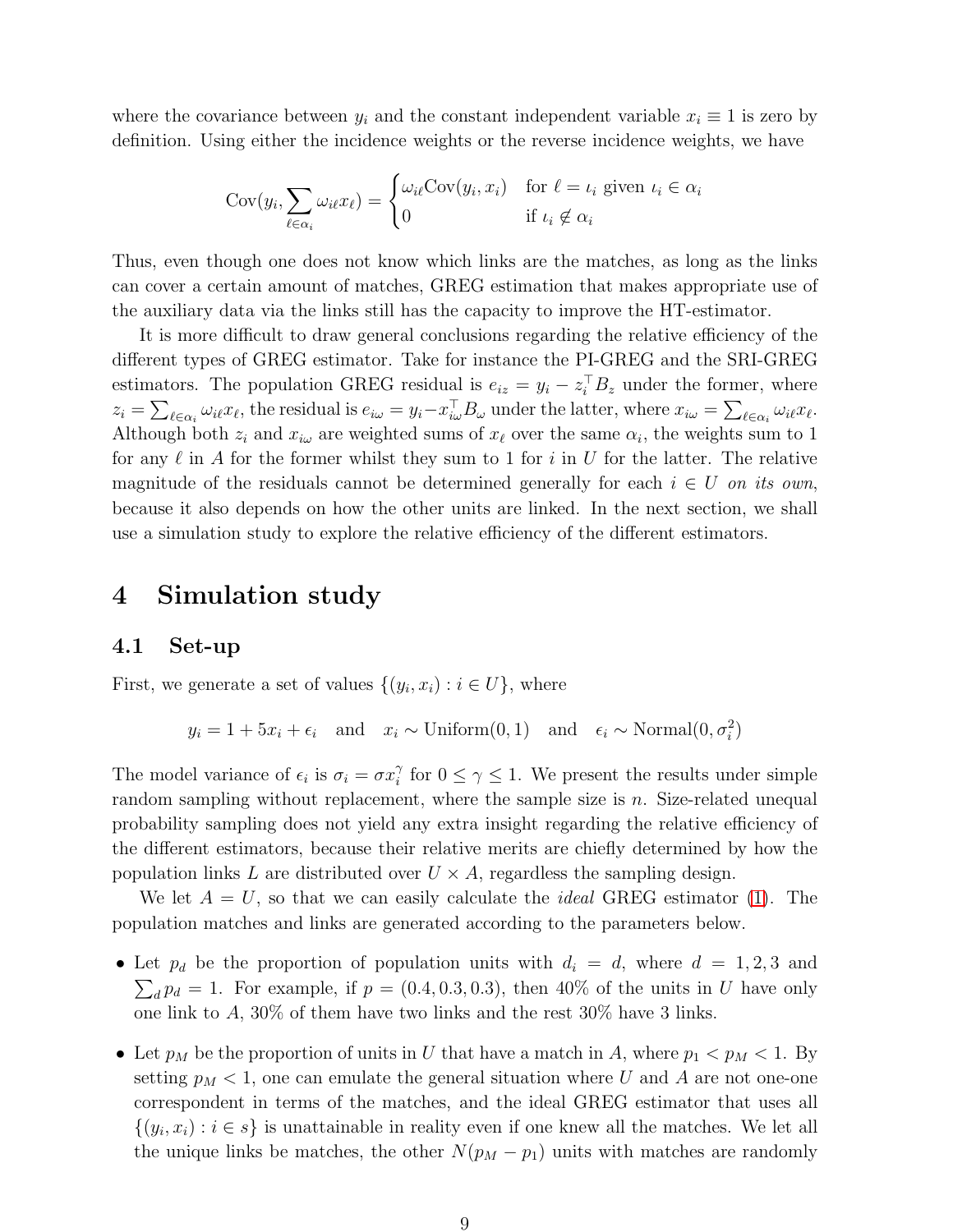where the covariance between  $y_i$  and the constant independent variable  $x_i \equiv 1$  is zero by definition. Using either the incidence weights or the reverse incidence weights, we have

$$
Cov(y_i, \sum_{\ell \in \alpha_i} \omega_{i\ell} x_{\ell}) = \begin{cases} \omega_{i\ell} Cov(y_i, x_i) & \text{for } \ell = \iota_i \text{ given } \iota_i \in \alpha_i \\ 0 & \text{if } \iota_i \notin \alpha_i \end{cases}
$$

Thus, even though one does not know which links are the matches, as long as the links can cover a certain amount of matches, GREG estimation that makes appropriate use of the auxiliary data via the links still has the capacity to improve the HT-estimator.

It is more difficult to draw general conclusions regarding the relative efficiency of the different types of GREG estimator. Take for instance the PI-GREG and the SRI-GREG estimators. The population GREG residual is  $e_{iz} = y_i - z_i^{\top} B_z$  under the former, where  $z_i = \sum_{\ell \in \alpha_i} \omega_{i\ell} x_{\ell}$ , the residual is  $e_{i\omega} = y_i - x_{i\omega}^{\top} B_{\omega}$  under the latter, where  $x_{i\omega} = \sum_{\ell \in \alpha_i} \omega_{i\ell} x_{\ell}$ . Although both  $z_i$  and  $x_{i\omega}$  are weighted sums of  $x_{\ell}$  over the same  $\alpha_i$ , the weights sum to 1 for any  $\ell$  in A for the former whilst they sum to 1 for i in U for the latter. The relative magnitude of the residuals cannot be determined generally for each  $i \in U$  on its own, because it also depends on how the other units are linked. In the next section, we shall use a simulation study to explore the relative efficiency of the different estimators.

## <span id="page-8-0"></span>4 Simulation study

### 4.1 Set-up

First, we generate a set of values  $\{(y_i, x_i) : i \in U\}$ , where

$$
y_i = 1 + 5x_i + \epsilon_i
$$
 and  $x_i \sim \text{Uniform}(0, 1)$  and  $\epsilon_i \sim \text{Normal}(0, \sigma_i^2)$ 

The model variance of  $\epsilon_i$  is  $\sigma_i = \sigma x_i^{\gamma}$  $i \atop i$  for  $0 \leq \gamma \leq 1$ . We present the results under simple random sampling without replacement, where the sample size is  $n$ . Size-related unequal probability sampling does not yield any extra insight regarding the relative efficiency of the different estimators, because their relative merits are chiefly determined by how the population links L are distributed over  $U \times A$ , regardless the sampling design.

We let  $A = U$ , so that we can easily calculate the *ideal* GREG estimator [\(1\)](#page-0-1). The population matches and links are generated according to the parameters below.

- Let  $p_d$  be the proportion of population units with  $d_i = d$ , where  $d = 1, 2, 3$  and  $\sum_{d} p_d = 1$ . For example, if  $p = (0.4, 0.3, 0.3)$ , then 40% of the units in U have only one link to A,  $30\%$  of them have two links and the rest  $30\%$  have 3 links.
- Let  $p_M$  be the proportion of units in U that have a match in A, where  $p_1 < p_M < 1$ . By setting  $p_M < 1$ , one can emulate the general situation where U and A are not one-one correspondent in terms of the matches, and the ideal GREG estimator that uses all  $\{(y_i, x_i) : i \in s\}$  is unattainable in reality even if one knew all the matches. We let all the unique links be matches, the other  $N(p_M - p_1)$  units with matches are randomly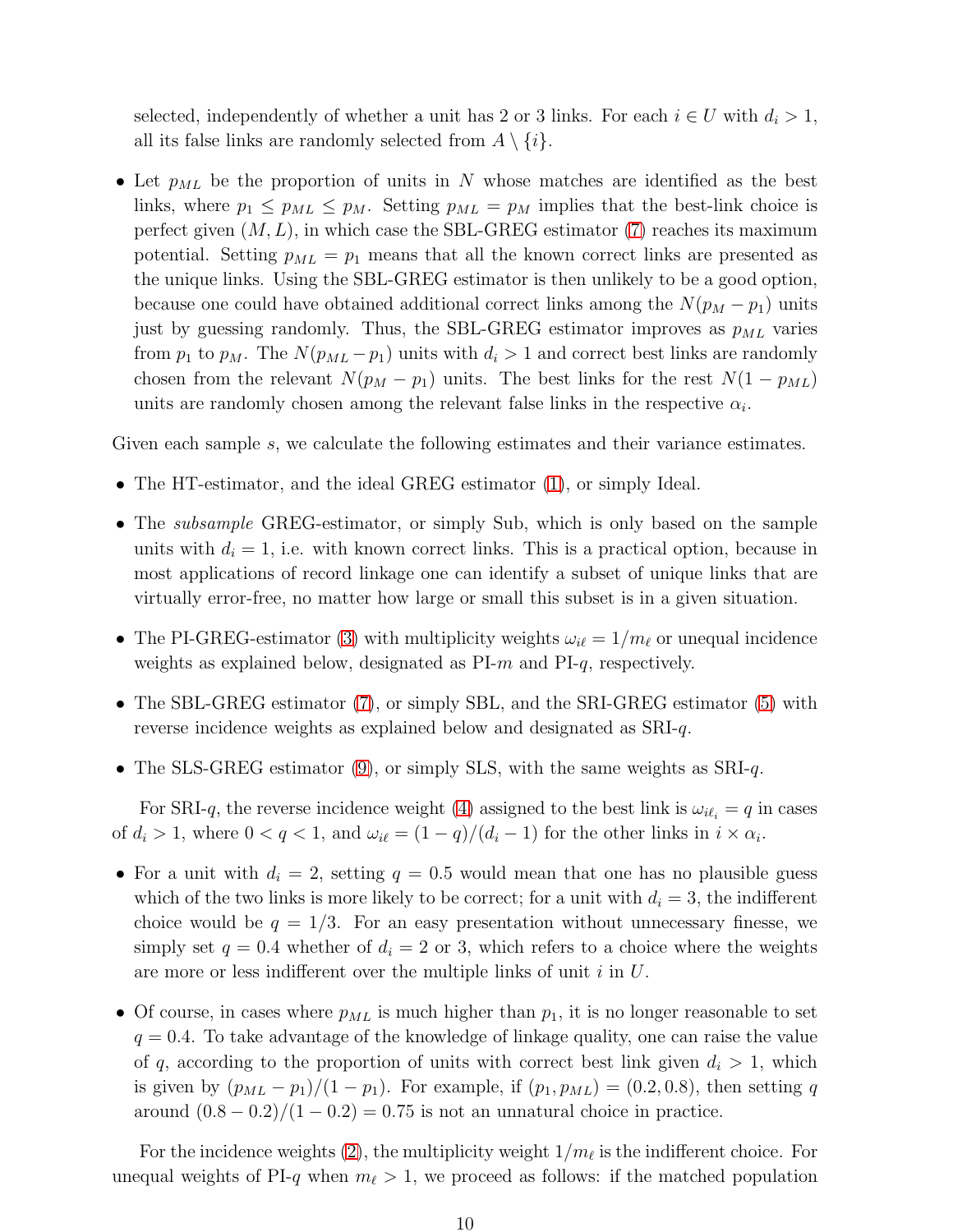selected, independently of whether a unit has 2 or 3 links. For each  $i \in U$  with  $d_i > 1$ , all its false links are randomly selected from  $A \setminus \{i\}.$ 

• Let  $p_{ML}$  be the proportion of units in N whose matches are identified as the best links, where  $p_1 \leq p_{ML} \leq p_M$ . Setting  $p_{ML} = p_M$  implies that the best-link choice is perfect given  $(M, L)$ , in which case the SBL-GREG estimator [\(7\)](#page-5-1) reaches its maximum potential. Setting  $p_{ML} = p_1$  means that all the known correct links are presented as the unique links. Using the SBL-GREG estimator is then unlikely to be a good option, because one could have obtained additional correct links among the  $N(p_M - p_1)$  units just by guessing randomly. Thus, the SBL-GREG estimator improves as  $p_{ML}$  varies from  $p_1$  to  $p_M$ . The  $N(p_{ML}-p_1)$  units with  $d_i > 1$  and correct best links are randomly chosen from the relevant  $N(p_M - p_1)$  units. The best links for the rest  $N(1 - p_{ML})$ units are randomly chosen among the relevant false links in the respective  $\alpha_i$ .

Given each sample s, we calculate the following estimates and their variance estimates.

- The HT-estimator, and the ideal GREG estimator [\(1\)](#page-0-1), or simply Ideal.
- The *subsample* GREG-estimator, or simply Sub, which is only based on the sample units with  $d_i = 1$ , i.e. with known correct links. This is a practical option, because in most applications of record linkage one can identify a subset of unique links that are virtually error-free, no matter how large or small this subset is in a given situation.
- The PI-GREG-estimator [\(3\)](#page-4-0) with multiplicity weights  $\omega_{i\ell} = 1/m_{\ell}$  or unequal incidence weights as explained below, designated as PI-m and PI-q, respectively.
- The SBL-GREG estimator [\(7\)](#page-5-1), or simply SBL, and the SRI-GREG estimator [\(5\)](#page-5-0) with reverse incidence weights as explained below and designated as SRI-q.
- The SLS-GREG estimator [\(9\)](#page-7-0), or simply SLS, with the same weights as SRI-q.

For SRI-q, the reverse incidence weight [\(4\)](#page-4-1) assigned to the best link is  $\omega_{i\ell_i} = q$  in cases of  $d_i > 1$ , where  $0 < q < 1$ , and  $\omega_{i\ell} = (1 - q)/(d_i - 1)$  for the other links in  $i \times \alpha_i$ .

- For a unit with  $d_i = 2$ , setting  $q = 0.5$  would mean that one has no plausible guess which of the two links is more likely to be correct; for a unit with  $d_i = 3$ , the indifferent choice would be  $q = 1/3$ . For an easy presentation without unnecessary finesse, we simply set  $q = 0.4$  whether of  $d_i = 2$  or 3, which refers to a choice where the weights are more or less indifferent over the multiple links of unit  $i$  in  $U$ .
- Of course, in cases where  $p_{ML}$  is much higher than  $p_1$ , it is no longer reasonable to set  $q = 0.4$ . To take advantage of the knowledge of linkage quality, one can raise the value of q, according to the proportion of units with correct best link given  $d_i > 1$ , which is given by  $(p_{ML} - p_1)/(1 - p_1)$ . For example, if  $(p_1, p_{ML}) = (0.2, 0.8)$ , then setting q around  $(0.8 - 0.2)/(1 - 0.2) = 0.75$  is not an unnatural choice in practice.

For the incidence weights [\(2\)](#page-3-1), the multiplicity weight  $1/m_{\ell}$  is the indifferent choice. For unequal weights of PI-q when  $m_{\ell} > 1$ , we proceed as follows: if the matched population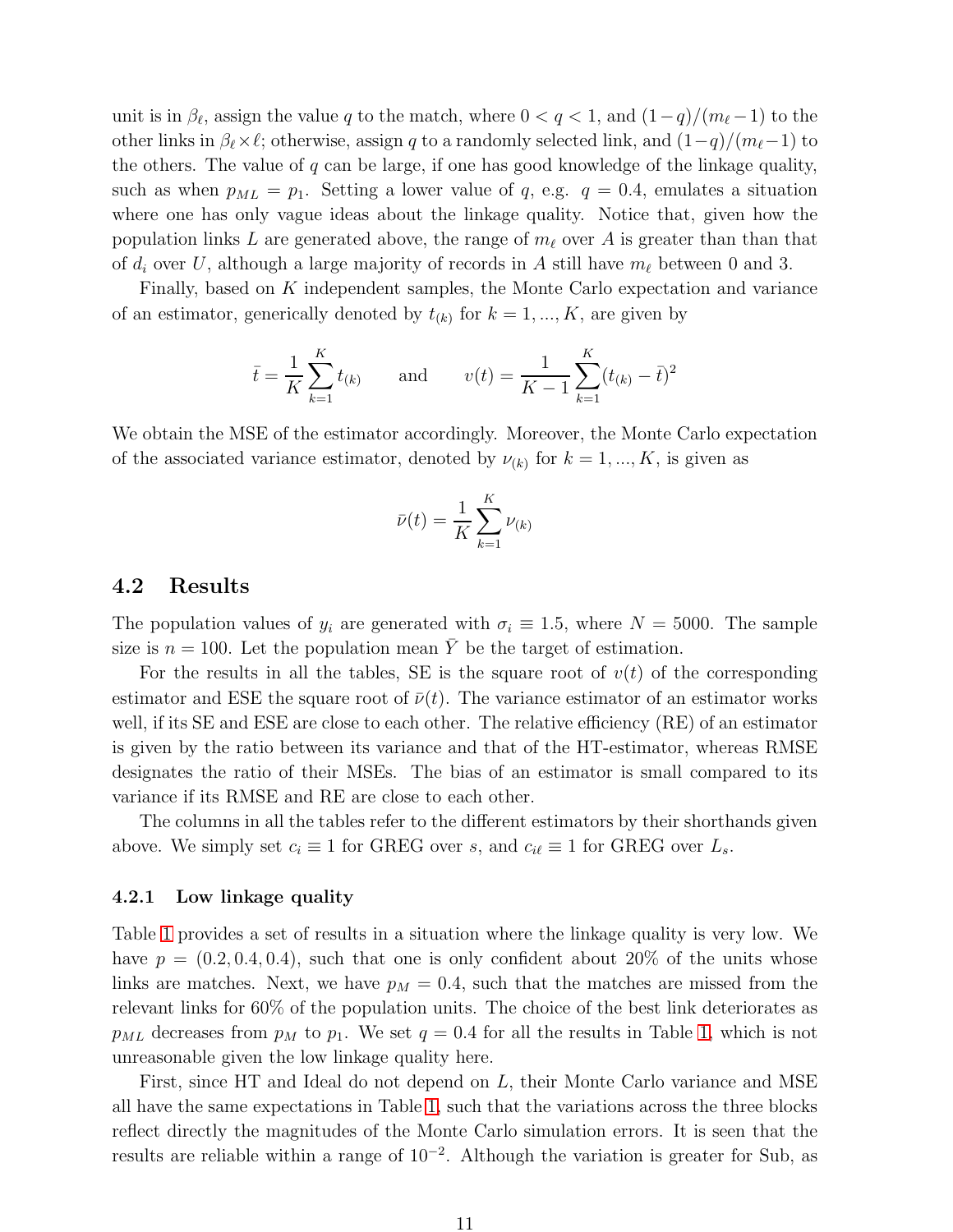unit is in  $\beta_{\ell}$ , assign the value q to the match, where  $0 < q < 1$ , and  $(1-q)/(m_{\ell}-1)$  to the other links in  $\beta_{\ell} \times \ell$ ; otherwise, assign q to a randomly selected link, and  $(1-q)/(m_{\ell}-1)$  to the others. The value of  $q$  can be large, if one has good knowledge of the linkage quality, such as when  $p_{ML} = p_1$ . Setting a lower value of q, e.g.  $q = 0.4$ , emulates a situation where one has only vague ideas about the linkage quality. Notice that, given how the population links L are generated above, the range of  $m_{\ell}$  over A is greater than than that of  $d_i$  over U, although a large majority of records in A still have  $m_\ell$  between 0 and 3.

Finally, based on K independent samples, the Monte Carlo expectation and variance of an estimator, generically denoted by  $t_{(k)}$  for  $k = 1, ..., K$ , are given by

$$
\bar{t} = \frac{1}{K} \sum_{k=1}^{K} t_{(k)}
$$
 and  $v(t) = \frac{1}{K-1} \sum_{k=1}^{K} (t_{(k)} - \bar{t})^2$ 

We obtain the MSE of the estimator accordingly. Moreover, the Monte Carlo expectation of the associated variance estimator, denoted by  $\nu_{(k)}$  for  $k = 1, ..., K$ , is given as

$$
\bar{\nu}(t) = \frac{1}{K} \sum_{k=1}^{K} \nu_{(k)}
$$

### <span id="page-10-0"></span>4.2 Results

The population values of  $y_i$  are generated with  $\sigma_i \equiv 1.5$ , where  $N = 5000$ . The sample size is  $n = 100$ . Let the population mean  $\overline{Y}$  be the target of estimation.

For the results in all the tables, SE is the square root of  $v(t)$  of the corresponding estimator and ESE the square root of  $\bar{\nu}(t)$ . The variance estimator of an estimator works well, if its SE and ESE are close to each other. The relative efficiency (RE) of an estimator is given by the ratio between its variance and that of the HT-estimator, whereas RMSE designates the ratio of their MSEs. The bias of an estimator is small compared to its variance if its RMSE and RE are close to each other.

The columns in all the tables refer to the different estimators by their shorthands given above. We simply set  $c_i \equiv 1$  for GREG over s, and  $c_{i\ell} \equiv 1$  for GREG over  $L_s$ .

#### 4.2.1 Low linkage quality

Table [1](#page-11-0) provides a set of results in a situation where the linkage quality is very low. We have  $p = (0.2, 0.4, 0.4)$ , such that one is only confident about 20% of the units whose links are matches. Next, we have  $p_M = 0.4$ , such that the matches are missed from the relevant links for 60% of the population units. The choice of the best link deteriorates as  $p_{ML}$  decreases from  $p_M$  to  $p_1$ . We set  $q = 0.4$  for all the results in Table [1,](#page-11-0) which is not unreasonable given the low linkage quality here.

First, since HT and Ideal do not depend on L, their Monte Carlo variance and MSE all have the same expectations in Table [1,](#page-11-0) such that the variations across the three blocks reflect directly the magnitudes of the Monte Carlo simulation errors. It is seen that the results are reliable within a range of 10<sup>−</sup><sup>2</sup> . Although the variation is greater for Sub, as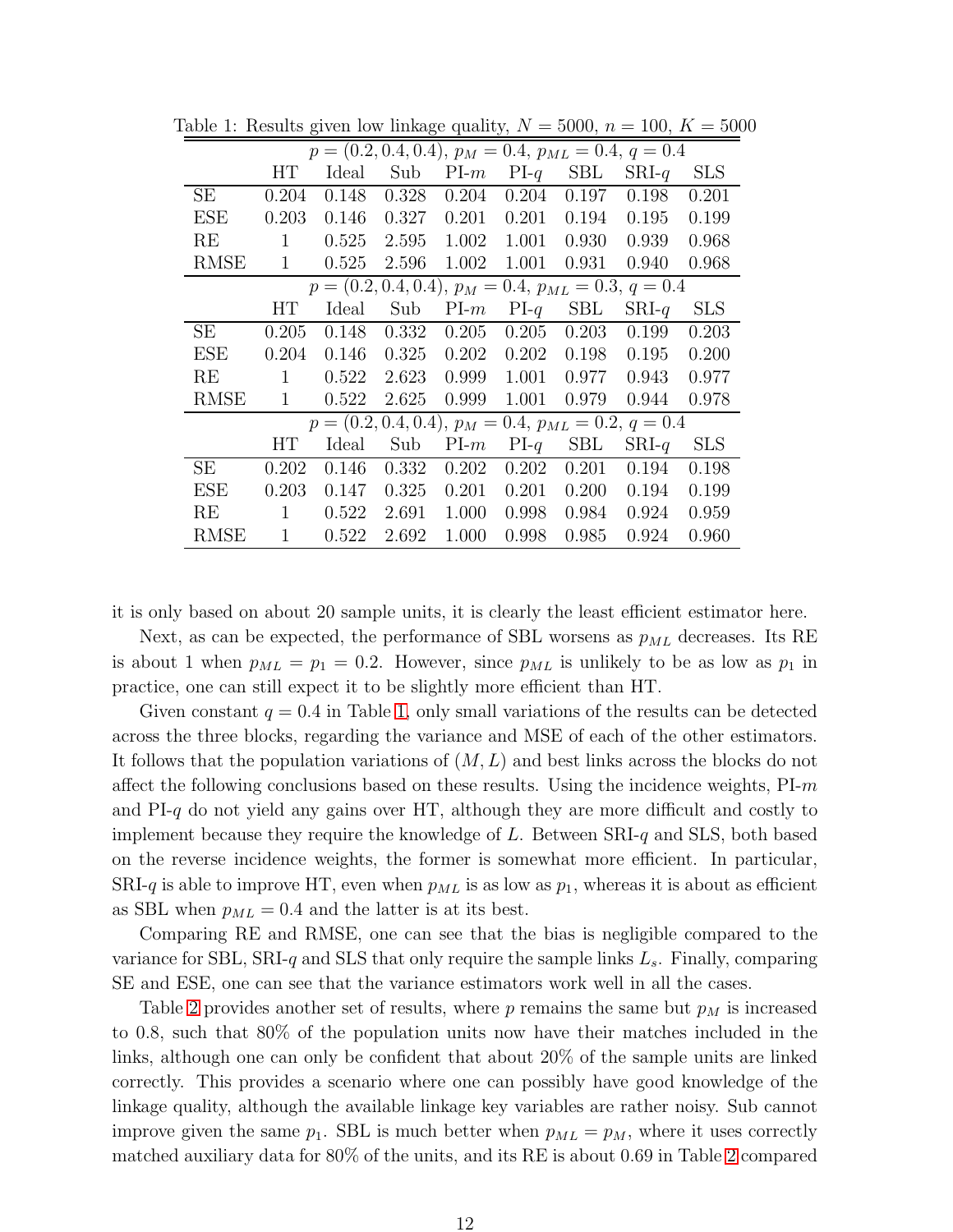<span id="page-11-0"></span>

| $p = (0.2, 0.4, 0.4), p_M = 0.4, p_{ML} = 0.4, q = 0.4$ |              |       |       |        |        |            |                                                         |            |
|---------------------------------------------------------|--------------|-------|-------|--------|--------|------------|---------------------------------------------------------|------------|
|                                                         | HТ           | Ideal | Sub   | $PI-m$ | $PI-q$ | <b>SBL</b> | $SRI-q$                                                 | <b>SLS</b> |
| <b>SE</b>                                               | 0.204        | 0.148 | 0.328 | 0.204  | 0.204  | 0.197      | 0.198                                                   | 0.201      |
| <b>ESE</b>                                              | 0.203        | 0.146 | 0.327 | 0.201  | 0.201  | 0.194      | 0.195                                                   | 0.199      |
| RE                                                      | 1            | 0.525 | 2.595 | 1.002  | 1.001  | 0.930      | 0.939                                                   | 0.968      |
| <b>RMSE</b>                                             | 1            | 0.525 | 2.596 | 1.002  | 1.001  | 0.931      | 0.940                                                   | 0.968      |
|                                                         |              |       |       |        |        |            | $p = (0.2, 0.4, 0.4), p_M = 0.4, p_{ML} = 0.3, q = 0.4$ |            |
|                                                         | HТ           | Ideal | Sub   | $PI-m$ | $PI-q$ | <b>SBL</b> | $SRI-q$                                                 | <b>SLS</b> |
| <b>SE</b>                                               | 0.205        | 0.148 | 0.332 | 0.205  | 0.205  | 0.203      | 0.199                                                   | 0.203      |
| <b>ESE</b>                                              | 0.204        | 0.146 | 0.325 | 0.202  | 0.202  | 0.198      | 0.195                                                   | 0.200      |
| RE                                                      | 1            | 0.522 | 2.623 | 0.999  | 1.001  | 0.977      | 0.943                                                   | 0.977      |
| <b>RMSE</b>                                             | $\mathbf{1}$ | 0.522 | 2.625 | 0.999  | 1.001  | 0.979      | 0.944                                                   | 0.978      |
| $p = (0.2, 0.4, 0.4), p_M = 0.4, p_{ML} = 0.2, q = 0.4$ |              |       |       |        |        |            |                                                         |            |
|                                                         | HT           | Ideal | Sub   | $PI-m$ | $PI-q$ | <b>SBL</b> | $SRI-q$                                                 | <b>SLS</b> |
| <b>SE</b>                                               | 0.202        | 0.146 | 0.332 | 0.202  | 0.202  | 0.201      | 0.194                                                   | 0.198      |
| <b>ESE</b>                                              | 0.203        | 0.147 | 0.325 | 0.201  | 0.201  | 0.200      | 0.194                                                   | 0.199      |
| RE                                                      | 1            | 0.522 | 2.691 | 1.000  | 0.998  | 0.984      | 0.924                                                   | 0.959      |
| <b>RMSE</b>                                             | 1            | 0.522 | 2.692 | 1.000  | 0.998  | 0.985      | 0.924                                                   | 0.960      |

Table 1: Results given low linkage quality,  $N = 5000$ ,  $n = 100$ ,  $K = 5000$ 

it is only based on about 20 sample units, it is clearly the least efficient estimator here.

Next, as can be expected, the performance of SBL worsens as  $p_{ML}$  decreases. Its RE is about 1 when  $p_{ML} = p_1 = 0.2$ . However, since  $p_{ML}$  is unlikely to be as low as  $p_1$  in practice, one can still expect it to be slightly more efficient than HT.

Given constant  $q = 0.4$  in Table [1,](#page-11-0) only small variations of the results can be detected across the three blocks, regarding the variance and MSE of each of the other estimators. It follows that the population variations of  $(M, L)$  and best links across the blocks do not affect the following conclusions based on these results. Using the incidence weights,  $PI-m$ and PI-q do not yield any gains over HT, although they are more difficult and costly to implement because they require the knowledge of  $L$ . Between  $SRI-q$  and  $SLS$ , both based on the reverse incidence weights, the former is somewhat more efficient. In particular, SRI-q is able to improve HT, even when  $p_{ML}$  is as low as  $p_1$ , whereas it is about as efficient as SBL when  $p_{ML} = 0.4$  and the latter is at its best.

Comparing RE and RMSE, one can see that the bias is negligible compared to the variance for SBL, SRI-q and SLS that only require the sample links  $L_s$ . Finally, comparing SE and ESE, one can see that the variance estimators work well in all the cases.

Table [2](#page-12-0) provides another set of results, where  $p$  remains the same but  $p_M$  is increased to 0.8, such that 80% of the population units now have their matches included in the links, although one can only be confident that about 20% of the sample units are linked correctly. This provides a scenario where one can possibly have good knowledge of the linkage quality, although the available linkage key variables are rather noisy. Sub cannot improve given the same  $p_1$ . SBL is much better when  $p_{ML} = p_M$ , where it uses correctly matched auxiliary data for 80% of the units, and its RE is about 0.69 in Table [2](#page-12-0) compared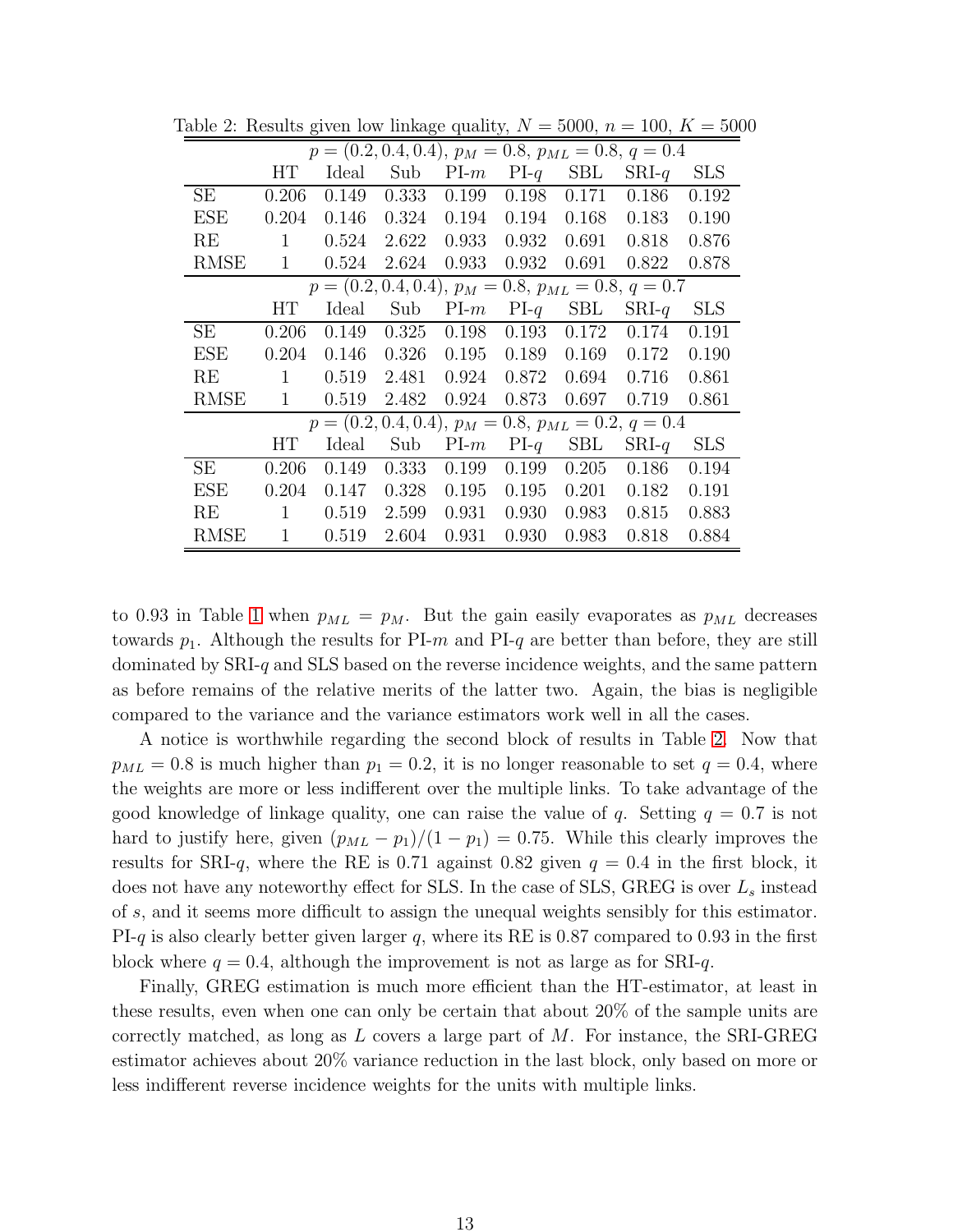<span id="page-12-0"></span>

| $p = (0.2, 0.4, 0.4), p_M = 0.8, p_{ML} = 0.8, q = 0.4$ |              |       |       |        |        |            |                                                         |            |
|---------------------------------------------------------|--------------|-------|-------|--------|--------|------------|---------------------------------------------------------|------------|
|                                                         | HТ           | Ideal | Sub   | $PI-m$ | $PI-q$ | <b>SBL</b> | $SRI-q$                                                 | <b>SLS</b> |
| <b>SE</b>                                               | 0.206        | 0.149 | 0.333 | 0.199  | 0.198  | 0.171      | 0.186                                                   | 0.192      |
| <b>ESE</b>                                              | 0.204        | 0.146 | 0.324 | 0.194  | 0.194  | 0.168      | 0.183                                                   | 0.190      |
| RE                                                      | 1            | 0.524 | 2.622 | 0.933  | 0.932  | 0.691      | 0.818                                                   | 0.876      |
| <b>RMSE</b>                                             | $\mathbf{1}$ | 0.524 | 2.624 | 0.933  | 0.932  | 0.691      | 0.822                                                   | 0.878      |
|                                                         |              |       |       |        |        |            | $p = (0.2, 0.4, 0.4), p_M = 0.8, p_{ML} = 0.8, q = 0.7$ |            |
|                                                         | HТ           | Ideal | Sub   | $PI-m$ | $PI-q$ | <b>SBL</b> | $SRI-q$                                                 | <b>SLS</b> |
| <b>SE</b>                                               | 0.206        | 0.149 | 0.325 | 0.198  | 0.193  | 0.172      | 0.174                                                   | 0.191      |
| <b>ESE</b>                                              | 0.204        | 0.146 | 0.326 | 0.195  | 0.189  | 0.169      | 0.172                                                   | 0.190      |
| RE                                                      | 1            | 0.519 | 2.481 | 0.924  | 0.872  | 0.694      | 0.716                                                   | 0.861      |
| <b>RMSE</b>                                             | $\mathbf{1}$ | 0.519 | 2.482 | 0.924  | 0.873  | 0.697      | 0.719                                                   | 0.861      |
| $p = (0.2, 0.4, 0.4), p_M = 0.8, p_{ML} = 0.2, q = 0.4$ |              |       |       |        |        |            |                                                         |            |
|                                                         | HТ           | Ideal | Sub   | $PI-m$ | $PI-q$ | <b>SBL</b> | $SRI-q$                                                 | <b>SLS</b> |
| SE                                                      | 0.206        | 0.149 | 0.333 | 0.199  | 0.199  | 0.205      | 0.186                                                   | 0.194      |
| <b>ESE</b>                                              | 0.204        | 0.147 | 0.328 | 0.195  | 0.195  | 0.201      | 0.182                                                   | 0.191      |
| RE                                                      | 1            | 0.519 | 2.599 | 0.931  | 0.930  | 0.983      | 0.815                                                   | 0.883      |
| <b>RMSE</b>                                             | $\mathbf{1}$ | 0.519 | 2.604 | 0.931  | 0.930  | 0.983      | 0.818                                                   | 0.884      |

Table 2: Results given low linkage quality,  $N = 5000$ ,  $n = 100$ ,  $K = 5000$ 

to 0.93 in Table [1](#page-11-0) when  $p_{ML} = p_M$ . But the gain easily evaporates as  $p_{ML}$  decreases towards  $p_1$ . Although the results for PI-m and PI-q are better than before, they are still dominated by SRI-q and SLS based on the reverse incidence weights, and the same pattern as before remains of the relative merits of the latter two. Again, the bias is negligible compared to the variance and the variance estimators work well in all the cases.

A notice is worthwhile regarding the second block of results in Table [2.](#page-12-0) Now that  $p_{ML} = 0.8$  is much higher than  $p_1 = 0.2$ , it is no longer reasonable to set  $q = 0.4$ , where the weights are more or less indifferent over the multiple links. To take advantage of the good knowledge of linkage quality, one can raise the value of q. Setting  $q = 0.7$  is not hard to justify here, given  $(p_{ML} - p_1)/(1 - p_1) = 0.75$ . While this clearly improves the results for SRI-q, where the RE is 0.71 against 0.82 given  $q = 0.4$  in the first block, it does not have any noteworthy effect for SLS. In the case of SLS, GREG is over  $L_s$  instead of s, and it seems more difficult to assign the unequal weights sensibly for this estimator. PI-q is also clearly better given larger q, where its RE is  $0.87$  compared to  $0.93$  in the first block where  $q = 0.4$ , although the improvement is not as large as for SRI-q.

Finally, GREG estimation is much more efficient than the HT-estimator, at least in these results, even when one can only be certain that about 20% of the sample units are correctly matched, as long as  $L$  covers a large part of  $M$ . For instance, the SRI-GREG estimator achieves about 20% variance reduction in the last block, only based on more or less indifferent reverse incidence weights for the units with multiple links.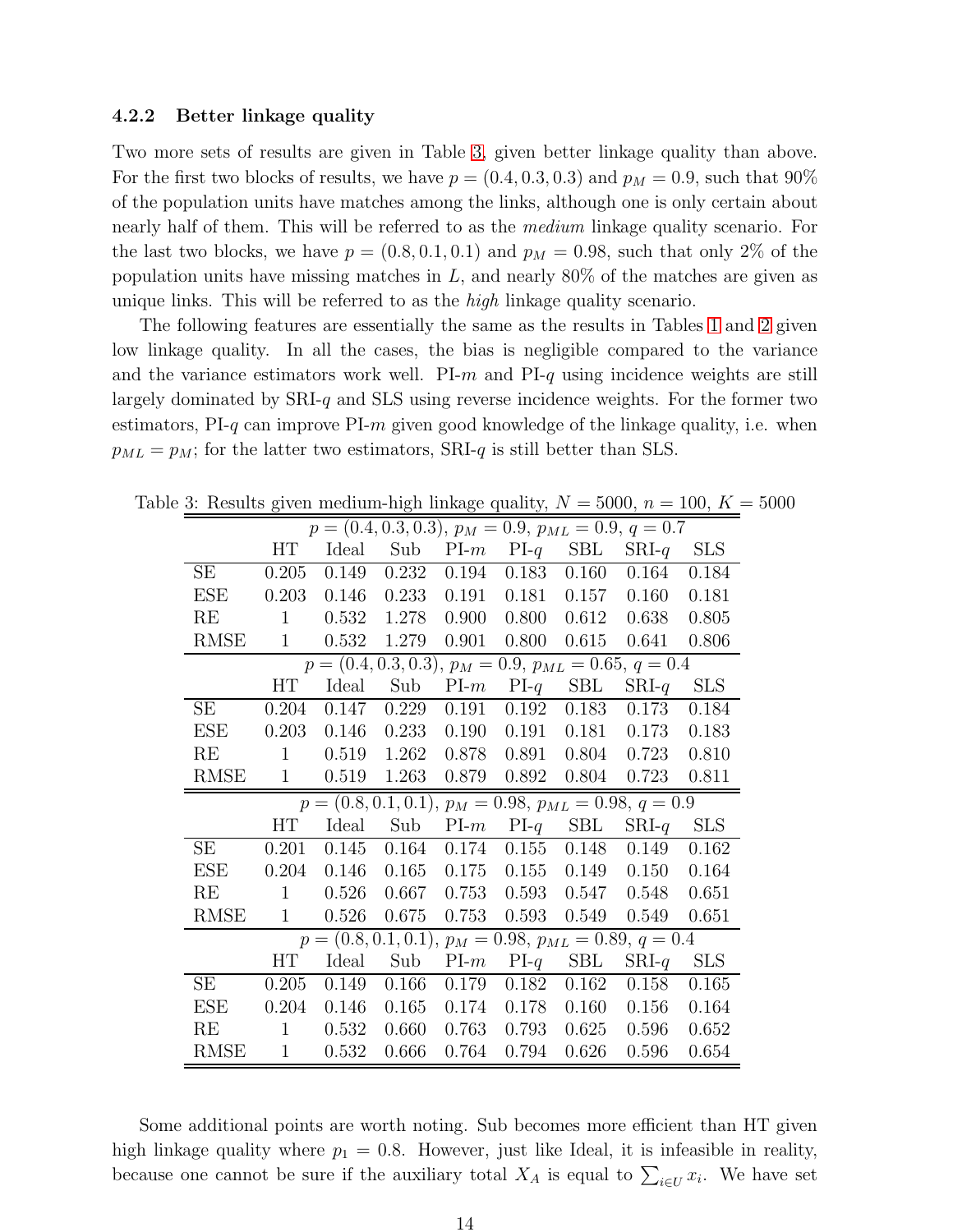#### 4.2.2 Better linkage quality

Two more sets of results are given in Table [3,](#page-13-0) given better linkage quality than above. For the first two blocks of results, we have  $p = (0.4, 0.3, 0.3)$  and  $p_M = 0.9$ , such that  $90\%$ of the population units have matches among the links, although one is only certain about nearly half of them. This will be referred to as the *medium* linkage quality scenario. For the last two blocks, we have  $p = (0.8, 0.1, 0.1)$  and  $p_M = 0.98$ , such that only 2% of the population units have missing matches in  $L$ , and nearly 80% of the matches are given as unique links. This will be referred to as the *high* linkage quality scenario.

The following features are essentially the same as the results in Tables [1](#page-11-0) and [2](#page-12-0) given low linkage quality. In all the cases, the bias is negligible compared to the variance and the variance estimators work well. PI-m and  $PI-q$  using incidence weights are still largely dominated by  $SRI-q$  and  $SLS$  using reverse incidence weights. For the former two estimators,  $PI-q$  can improve  $PI-m$  given good knowledge of the linkage quality, i.e. when  $p_{ML} = p_M$ ; for the latter two estimators, SRI-q is still better than SLS.

<span id="page-13-0"></span>

| $\sigma$ . Trobards given incurrent high numege quality, $\alpha = 5000$ , $n = 100$ , $\Lambda$ |              |       |       |       |               |                      |                                                           |             |
|--------------------------------------------------------------------------------------------------|--------------|-------|-------|-------|---------------|----------------------|-----------------------------------------------------------|-------------|
| $p = (0.\overline{4}, 0.3, 0.3), p_M = 0.9, p_{ML} = 0.9, q = 0.7$                               |              |       |       |       |               |                      |                                                           |             |
|                                                                                                  | HT           | Ideal | Sub   | PLm   | $PI-q$        | $\operatorname{SBL}$ | $SRI-q$                                                   | <b>SLS</b>  |
| <b>SE</b>                                                                                        | 0.205        | 0.149 | 0.232 | 0.194 | 0.183         | 0.160                | 0.164                                                     | 0.184       |
| <b>ESE</b>                                                                                       | 0.203        | 0.146 | 0.233 | 0.191 | 0.181         | 0.157                | 0.160                                                     | 0.181       |
| RE                                                                                               | $\mathbf{1}$ | 0.532 | 1.278 | 0.900 | 0.800         | 0.612                | 0.638                                                     | 0.805       |
| $\operatorname{RMSE}$                                                                            | $\mathbf{1}$ | 0.532 | 1.279 | 0.901 | 0.800         | 0.615                | 0.641                                                     | 0.806       |
| $p = (0.4, 0.3, 0.3), p_M = 0.9, p_{ML} = 0.65, q = 0.4$                                         |              |       |       |       |               |                      |                                                           |             |
|                                                                                                  | HT           | Ideal | Sub   | PLm   | $PI-q$        | $\operatorname{SBL}$ | $SRI-q$                                                   | ${\rm SLS}$ |
| SЕ                                                                                               | 0.204        | 0.147 | 0.229 | 0.191 | 0.192         | 0.183                | 0.173                                                     | 0.184       |
| <b>ESE</b>                                                                                       | 0.203        | 0.146 | 0.233 | 0.190 | 0.191         | 0.181                | 0.173                                                     | 0.183       |
| RE                                                                                               | $\mathbf{1}$ | 0.519 | 1.262 | 0.878 | 0.891         | 0.804                | 0.723                                                     | 0.810       |
| <b>RMSE</b>                                                                                      | $\mathbf{1}$ | 0.519 | 1.263 | 0.879 | 0.892         | 0.804                | 0.723                                                     | 0.811       |
| $p = (0.8, 0.1, 0.1), p_M = 0.98, p_{ML} = 0.98, q = 0.9$                                        |              |       |       |       |               |                      |                                                           |             |
|                                                                                                  |              |       |       |       |               |                      |                                                           |             |
|                                                                                                  | <b>HT</b>    | Ideal | Sub   | PLm   |               | $PI-q$ SBL           | $SRI-q$                                                   | ${\rm SLS}$ |
| <b>SE</b>                                                                                        | 0.201        | 0.145 | 0.164 | 0.174 | 0.155         | 0.148                | 0.149                                                     | 0.162       |
| <b>ESE</b>                                                                                       | 0.204        | 0.146 | 0.165 | 0.175 | 0.155         | 0.149                | 0.150                                                     | 0.164       |
| RE                                                                                               | 1            | 0.526 | 0.667 | 0.753 | 0.593         | 0.547                | 0.548                                                     | 0.651       |
| <b>RMSE</b>                                                                                      | $\mathbf{1}$ | 0.526 | 0.675 | 0.753 | 0.593         | 0.549                | 0.549                                                     | 0.651       |
|                                                                                                  |              |       |       |       |               |                      | $p = (0.8, 0.1, 0.1), p_M = 0.98, p_{ML} = 0.89, q = 0.4$ |             |
|                                                                                                  | HT           | Ideal | Sub   |       | $PI-m$ $PI-q$ | $\operatorname{SBL}$ | $SRI-q$                                                   | <b>SLS</b>  |
| SЕ                                                                                               | 0.205        | 0.149 | 0.166 | 0.179 | 0.182         | 0.162                | 0.158                                                     | 0.165       |
| <b>ESE</b>                                                                                       | 0.204        | 0.146 | 0.165 | 0.174 | 0.178         | 0.160                | 0.156                                                     | 0.164       |
| RE                                                                                               | $\mathbf{1}$ | 0.532 | 0.660 | 0.763 | 0.793         | 0.625                | 0.596                                                     | 0.652       |

Table 3: Results given medium-high linkage quality,  $N = 5000$ ,  $n = 100$ ,  $K = 5000$ 

Some additional points are worth noting. Sub becomes more efficient than HT given high linkage quality where  $p_1 = 0.8$ . However, just like Ideal, it is infeasible in reality, because one cannot be sure if the auxiliary total  $X_A$  is equal to  $\sum_{i\in U} x_i$ . We have set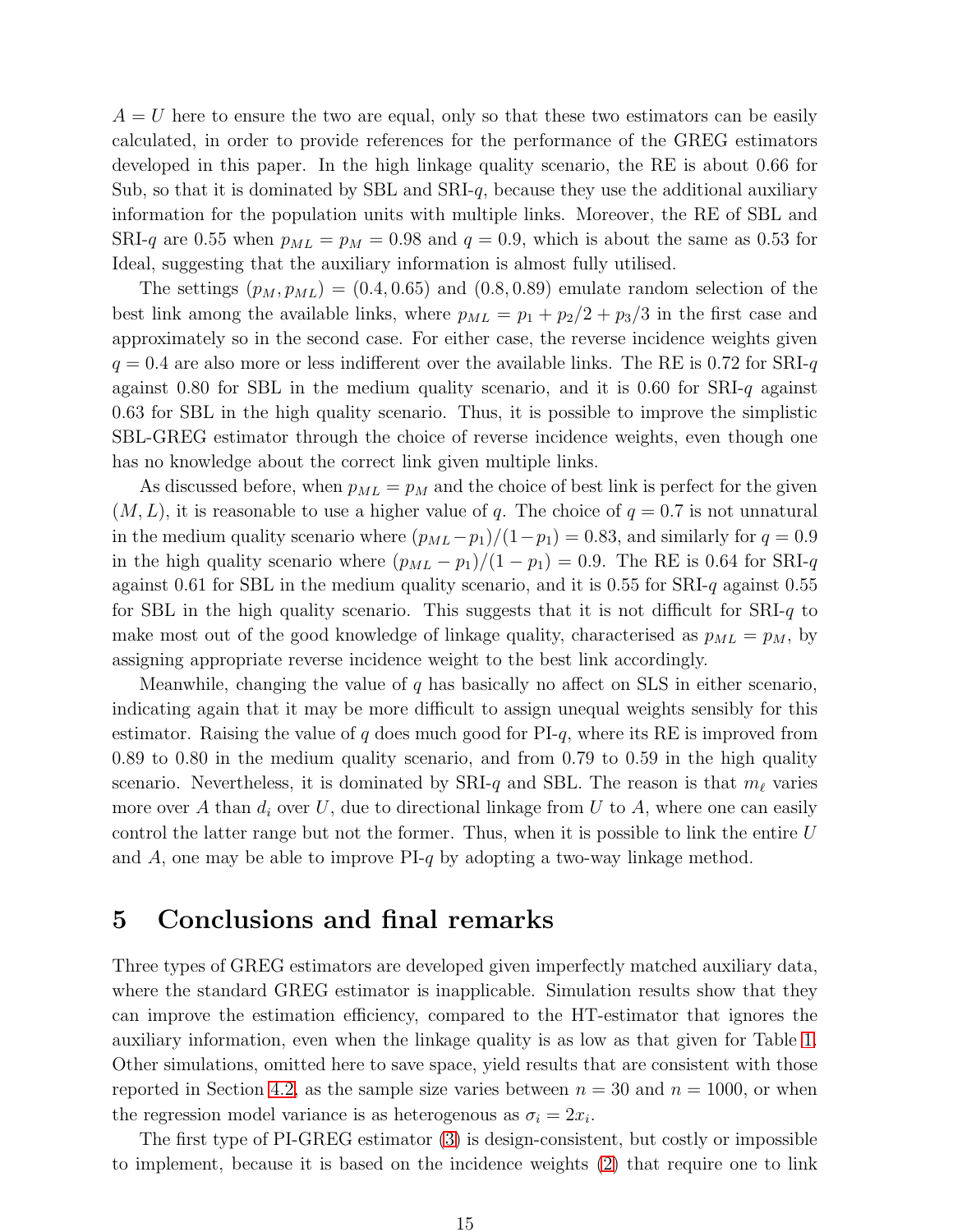$A = U$  here to ensure the two are equal, only so that these two estimators can be easily calculated, in order to provide references for the performance of the GREG estimators developed in this paper. In the high linkage quality scenario, the RE is about 0.66 for Sub, so that it is dominated by SBL and  $SRI-q$ , because they use the additional auxiliary information for the population units with multiple links. Moreover, the RE of SBL and SRI-q are 0.55 when  $p_{ML} = p_M = 0.98$  and  $q = 0.9$ , which is about the same as 0.53 for Ideal, suggesting that the auxiliary information is almost fully utilised.

The settings  $(p_M, p_{ML}) = (0.4, 0.65)$  and  $(0.8, 0.89)$  emulate random selection of the best link among the available links, where  $p_{ML} = p_1 + p_2/2 + p_3/3$  in the first case and approximately so in the second case. For either case, the reverse incidence weights given  $q = 0.4$  are also more or less indifferent over the available links. The RE is 0.72 for SRI-q against 0.80 for SBL in the medium quality scenario, and it is 0.60 for  $SRI-q$  against 0.63 for SBL in the high quality scenario. Thus, it is possible to improve the simplistic SBL-GREG estimator through the choice of reverse incidence weights, even though one has no knowledge about the correct link given multiple links.

As discussed before, when  $p_{ML} = p_M$  and the choice of best link is perfect for the given  $(M, L)$ , it is reasonable to use a higher value of q. The choice of  $q = 0.7$  is not unnatural in the medium quality scenario where  $(p_{ML}-p_1)/(1-p_1) = 0.83$ , and similarly for  $q = 0.9$ in the high quality scenario where  $(p_{ML} - p_1)/(1 - p_1) = 0.9$ . The RE is 0.64 for SRI-q against 0.61 for SBL in the medium quality scenario, and it is 0.55 for SRI-q against 0.55 for SBL in the high quality scenario. This suggests that it is not difficult for  $SRI-q$  to make most out of the good knowledge of linkage quality, characterised as  $p_{ML} = p_M$ , by assigning appropriate reverse incidence weight to the best link accordingly.

Meanwhile, changing the value of q has basically no affect on SLS in either scenario, indicating again that it may be more difficult to assign unequal weights sensibly for this estimator. Raising the value of  $q$  does much good for PI- $q$ , where its RE is improved from 0.89 to 0.80 in the medium quality scenario, and from 0.79 to 0.59 in the high quality scenario. Nevertheless, it is dominated by SRI-q and SBL. The reason is that  $m_{\ell}$  varies more over A than  $d_i$  over U, due to directional linkage from U to A, where one can easily control the latter range but not the former. Thus, when it is possible to link the entire  $U$ and A, one may be able to improve  $PI-q$  by adopting a two-way linkage method.

# <span id="page-14-0"></span>5 Conclusions and final remarks

Three types of GREG estimators are developed given imperfectly matched auxiliary data, where the standard GREG estimator is inapplicable. Simulation results show that they can improve the estimation efficiency, compared to the HT-estimator that ignores the auxiliary information, even when the linkage quality is as low as that given for Table [1.](#page-11-0) Other simulations, omitted here to save space, yield results that are consistent with those reported in Section [4.2,](#page-10-0) as the sample size varies between  $n = 30$  and  $n = 1000$ , or when the regression model variance is as heterogenous as  $\sigma_i = 2x_i$ .

The first type of PI-GREG estimator [\(3\)](#page-4-0) is design-consistent, but costly or impossible to implement, because it is based on the incidence weights [\(2\)](#page-3-1) that require one to link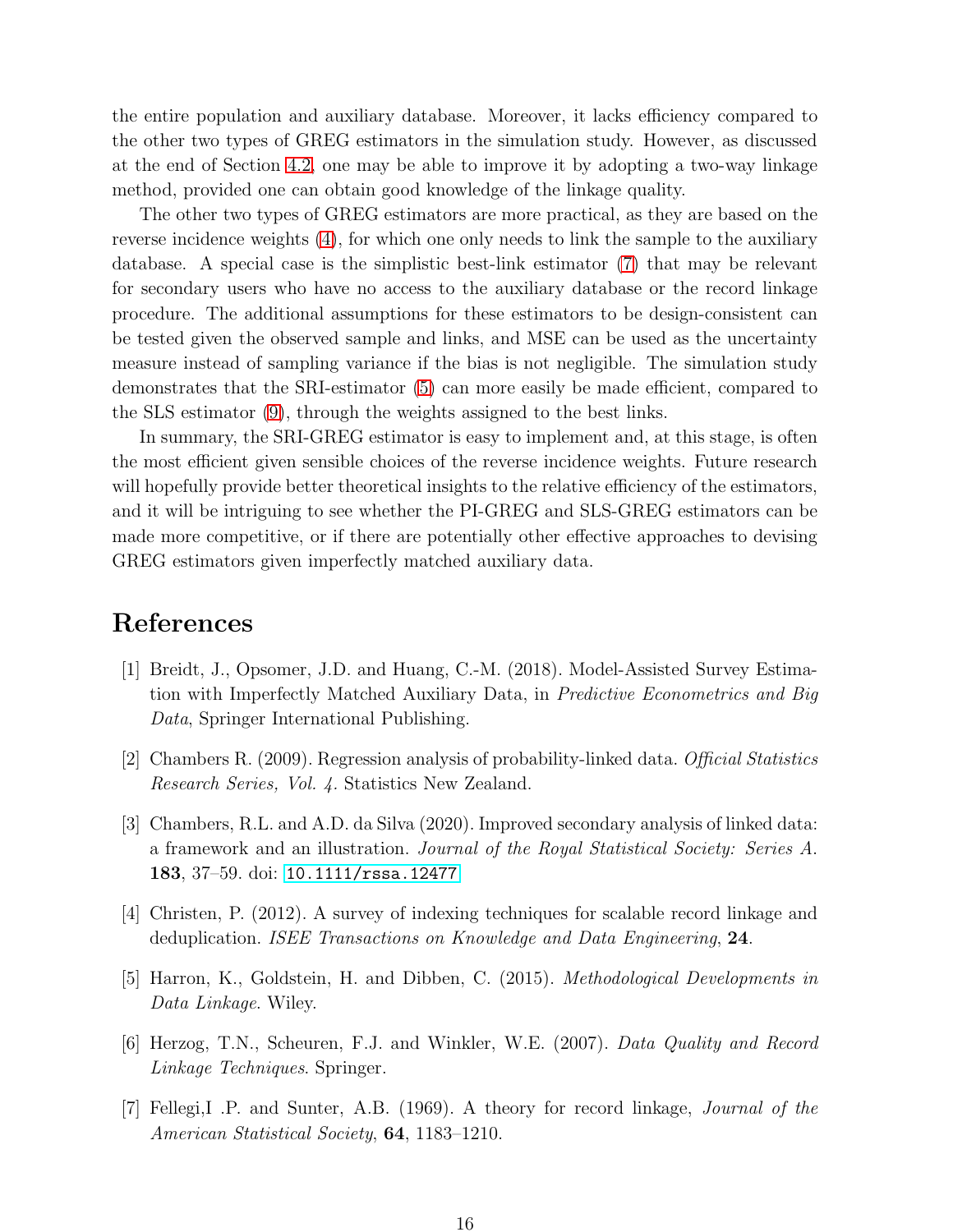the entire population and auxiliary database. Moreover, it lacks efficiency compared to the other two types of GREG estimators in the simulation study. However, as discussed at the end of Section [4.2,](#page-10-0) one may be able to improve it by adopting a two-way linkage method, provided one can obtain good knowledge of the linkage quality.

The other two types of GREG estimators are more practical, as they are based on the reverse incidence weights [\(4\)](#page-4-1), for which one only needs to link the sample to the auxiliary database. A special case is the simplistic best-link estimator [\(7\)](#page-5-1) that may be relevant for secondary users who have no access to the auxiliary database or the record linkage procedure. The additional assumptions for these estimators to be design-consistent can be tested given the observed sample and links, and MSE can be used as the uncertainty measure instead of sampling variance if the bias is not negligible. The simulation study demonstrates that the SRI-estimator [\(5\)](#page-5-0) can more easily be made efficient, compared to the SLS estimator [\(9\)](#page-7-0), through the weights assigned to the best links.

In summary, the SRI-GREG estimator is easy to implement and, at this stage, is often the most efficient given sensible choices of the reverse incidence weights. Future research will hopefully provide better theoretical insights to the relative efficiency of the estimators, and it will be intriguing to see whether the PI-GREG and SLS-GREG estimators can be made more competitive, or if there are potentially other effective approaches to devising GREG estimators given imperfectly matched auxiliary data.

# References

- [1] Breidt, J., Opsomer, J.D. and Huang, C.-M. (2018). Model-Assisted Survey Estimation with Imperfectly Matched Auxiliary Data, in Predictive Econometrics and Big Data, Springer International Publishing.
- [2] Chambers R. (2009). Regression analysis of probability-linked data. Official Statistics Research Series, Vol. 4. Statistics New Zealand.
- [3] Chambers, R.L. and A.D. da Silva (2020). Improved secondary analysis of linked data: a framework and an illustration. Journal of the Royal Statistical Society: Series A. 183, 37–59. doi: <10.1111/rssa.12477>
- [4] Christen, P. (2012). A survey of indexing techniques for scalable record linkage and deduplication. ISEE Transactions on Knowledge and Data Engineering, 24.
- [5] Harron, K., Goldstein, H. and Dibben, C. (2015). Methodological Developments in Data Linkage. Wiley.
- [6] Herzog, T.N., Scheuren, F.J. and Winkler, W.E. (2007). Data Quality and Record Linkage Techniques. Springer.
- [7] Fellegi,I .P. and Sunter, A.B. (1969). A theory for record linkage, Journal of the American Statistical Society, 64, 1183–1210.